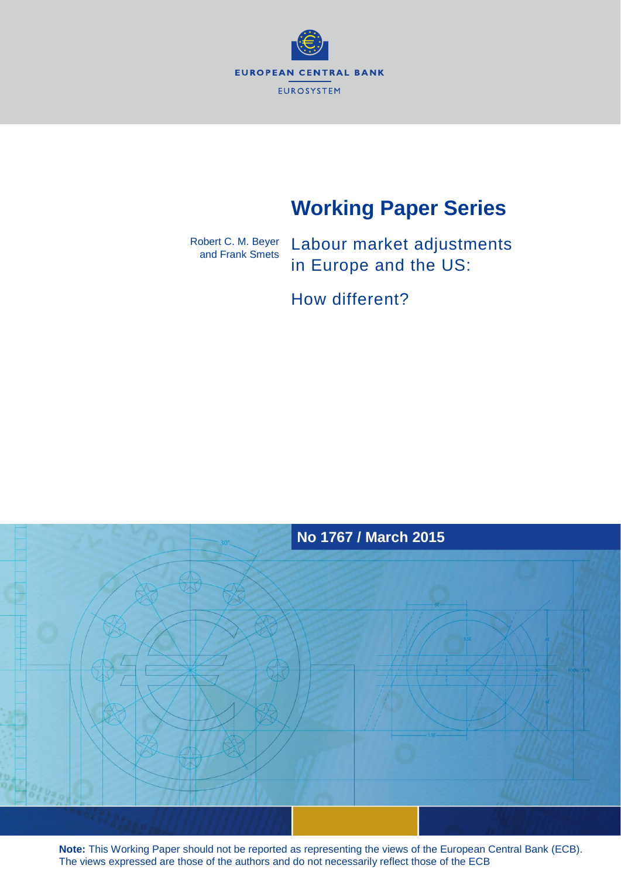

# **Working Paper Series**

Robert C. M. Beyer and Frank Smets

Labour market adjustments in Europe and the US:

How different?



**Note:** This Working Paper should not be reported as representing the views of the European Central Bank (ECB). The views expressed are those of the authors and do not necessarily reflect those of the ECB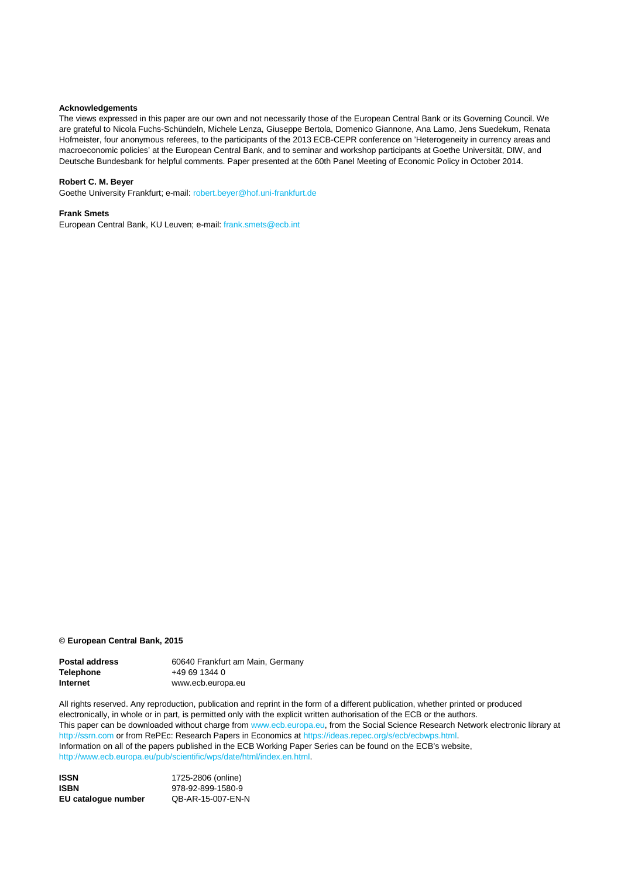#### **Acknowledgements**

The views expressed in this paper are our own and not necessarily those of the European Central Bank or its Governing Council. We are grateful to Nicola Fuchs-Schündeln, Michele Lenza, Giuseppe Bertola, Domenico Giannone, Ana Lamo, Jens Suedekum, Renata Hofmeister, four anonymous referees, to the participants of the 2013 ECB-CEPR conference on 'Heterogeneity in currency areas and macroeconomic policies' at the European Central Bank, and to seminar and workshop participants at Goethe Universität, DIW, and Deutsche Bundesbank for helpful comments. Paper presented at the 60th Panel Meeting of Economic Policy in October 2014.

#### **Robert C. M. Beyer**

Goethe University Frankfurt; e-mail: [robert.beyer@hof.uni-frankfurt.de](mailto:robert.beyer@hof.uni-frankfurt.de)

#### **Frank Smets**

European Central Bank, KU Leuven; e-mail[: frank.smets@ecb.int](mailto:frank.smets@ecb.int)

#### **© European Central Bank, 2015**

| <b>Postal address</b> | 60640 Frankfurt am Main, Germany |
|-----------------------|----------------------------------|
| <b>Telephone</b>      | $+496913440$                     |
| Internet              | www.ecb.europa.eu                |

All rights reserved. Any reproduction, publication and reprint in the form of a different publication, whether printed or produced electronically, in whole or in part, is permitted only with the explicit written authorisation of the ECB or the authors. This paper can be downloaded without charge from [www.ecb.europa.eu,](http://www.ecb.europa.eu/) from the Social Science Research Network electronic library at [http://ssrn.com](http://ssrn.com/) or from RePEc: Research Papers in Economics at [https://ideas.repec.org/s/ecb/ecbwps.html.](https://ideas.repec.org/s/ecb/ecbwps.html) Information on all of the papers published in the ECB Working Paper Series can be found on the ECB's website, [http://www.ecb.europa.eu/pub/scientific/wps/date/html/index.en.html.](http://www.ecb.europa.eu/pub/scientific/wps/date/html/index.en.html)

**ISSN 1725-2806 (online)**<br> **ISBN 978-92-899-1580-9 ISBN** 978-92-899-1580-9 **EU catalogue number** QB-AR-15-007-EN-N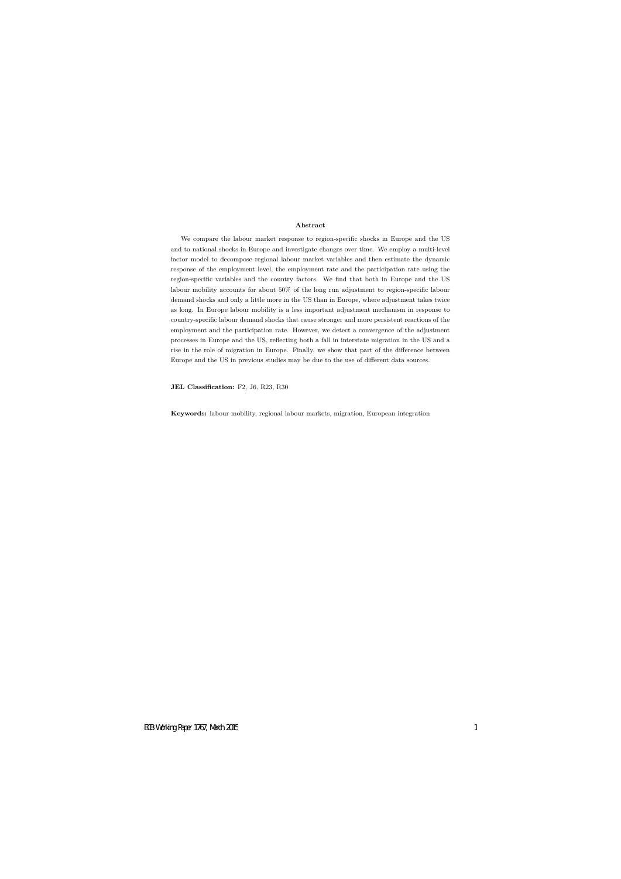#### **Abstract**

We compare the labour market response to region-specific shocks in Europe and the US and to national shocks in Europe and investigate changes over time. We employ a multi-level factor model to decompose regional labour market variables and then estimate the dynamic response of the employment level, the employment rate and the participation rate using the region-specific variables and the country factors. We find that both in Europe and the US labour mobility accounts for about 50% of the long run adjustment to region-specific labour demand shocks and only a little more in the US than in Europe, where adjustment takes twice as long. In Europe labour mobility is a less important adjustment mechanism in response to country-specific labour demand shocks that cause stronger and more persistent reactions of the employment and the participation rate. However, we detect a convergence of the adjustment processes in Europe and the US, reflecting both a fall in interstate migration in the US and a rise in the role of migration in Europe. Finally, we show that part of the difference between Europe and the US in previous studies may be due to the use of different data sources.

**JEL Classification:** F2, J6, R23, R30

**Keywords:** labour mobility, regional labour markets, migration, European integration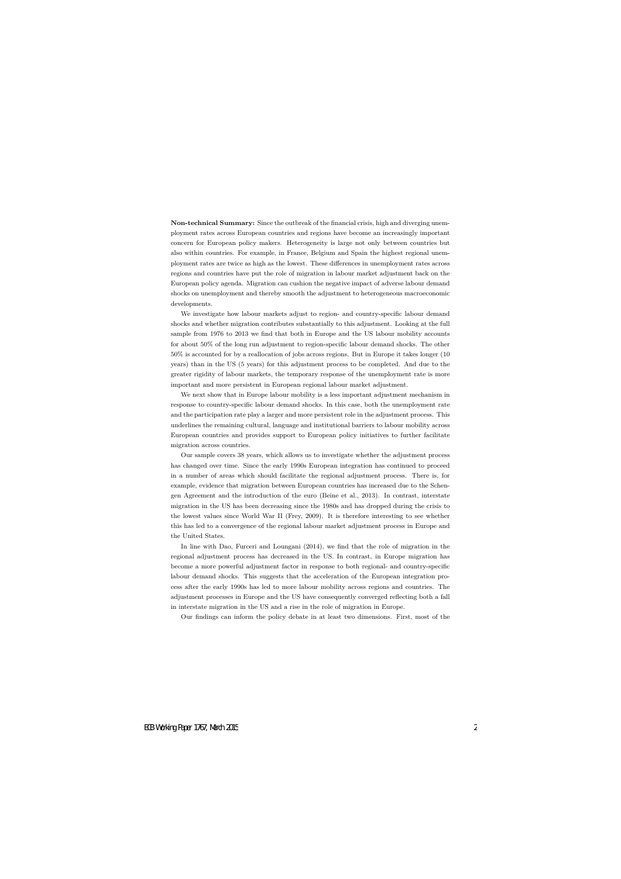**Non-technical Summary:** Since the outbreak of the financial crisis, high and diverging unemployment rates across European countries and regions have become an increasingly important concern for European policy makers. Heterogeneity is large not only between countries but also within countries. For example, in France, Belgium and Spain the highest regional unemployment rates are twice as high as the lowest. These differences in unemployment rates across regions and countries have put the role of migration in labour market adjustment back on the European policy agenda. Migration can cushion the negative impact of adverse labour demand shocks on unemployment and thereby smooth the adjustment to heterogeneous macroeconomic developments.

We investigate how labour markets adjust to region- and country-specific labour demand shocks and whether migration contributes substantially to this adjustment. Looking at the full sample from 1976 to 2013 we find that both in Europe and the US labour mobility accounts for about 50% of the long run adjustment to region-specific labour demand shocks. The other 50% is accounted for by a reallocation of jobs across regions. But in Europe it takes longer (10 years) than in the US (5 years) for this adjustment process to be completed. And due to the greater rigidity of labour markets, the temporary response of the unemployment rate is more important and more persistent in European regional labour market adjustment.

We next show that in Europe labour mobility is a less important adjustment mechanism in response to country-specific labour demand shocks. In this case, both the unemployment rate and the participation rate play a larger and more persistent role in the adjustment process. This underlines the remaining cultural, language and institutional barriers to labour mobility across European countries and provides support to European policy initiatives to further facilitate migration across countries.

Our sample covers 38 years, which allows us to investigate whether the adjustment process has changed over time. Since the early 1990s European integration has continued to proceed in a number of areas which should facilitate the regional adjustment process. There is, for example, evidence that migration between European countries has increased due to the Schengen Agreement and the introduction of the euro (Beine et al., 2013). In contrast, interstate migration in the US has been decreasing since the 1980s and has dropped during the crisis to the lowest values since World War II (Frey, 2009). It is therefore interesting to see whether this has led to a convergence of the regional labour market adjustment process in Europe and the United States.

In line with Dao, Furceri and Loungani (2014), we find that the role of migration in the regional adjustment process has decreased in the US. In contrast, in Europe migration has become a more powerful adjustment factor in response to both regional- and country-specific labour demand shocks. This suggests that the acceleration of the European integration process after the early 1990s has led to more labour mobility across regions and countries. The adjustment processes in Europe and the US have consequently converged reflecting both a fall in interstate migration in the US and a rise in the role of migration in Europe.

Our findings can inform the policy debate in at least two dimensions. First, most of the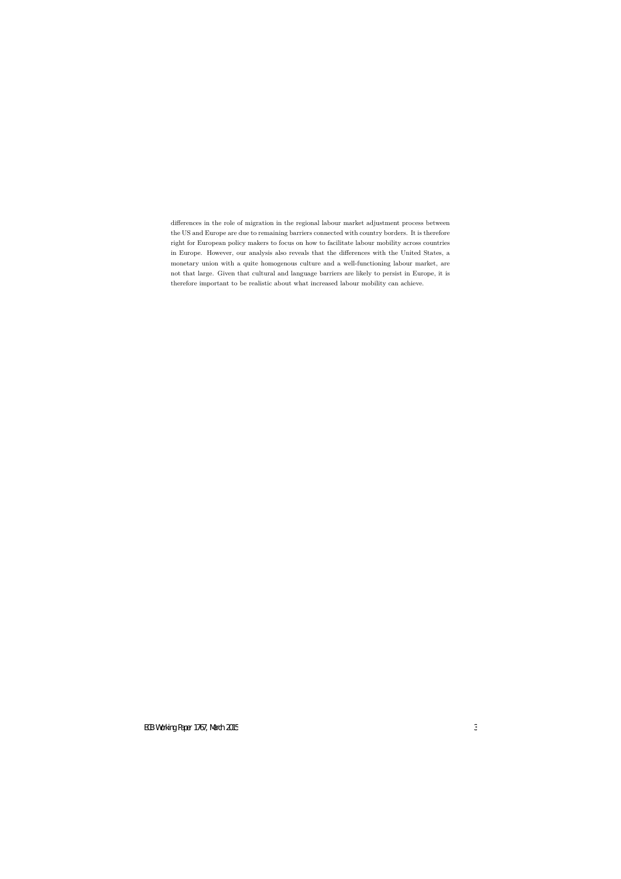differences in the role of migration in the regional labour market adjustment process between the US and Europe are due to remaining barriers connected with country borders. It is therefore right for European policy makers to focus on how to facilitate labour mobility across countries in Europe. However, our analysis also reveals that the differences with the United States, a monetary union with a quite homogenous culture and a well-functioning labour market, are not that large. Given that cultural and language barriers are likely to persist in Europe, it is therefore important to be realistic about what increased labour mobility can achieve.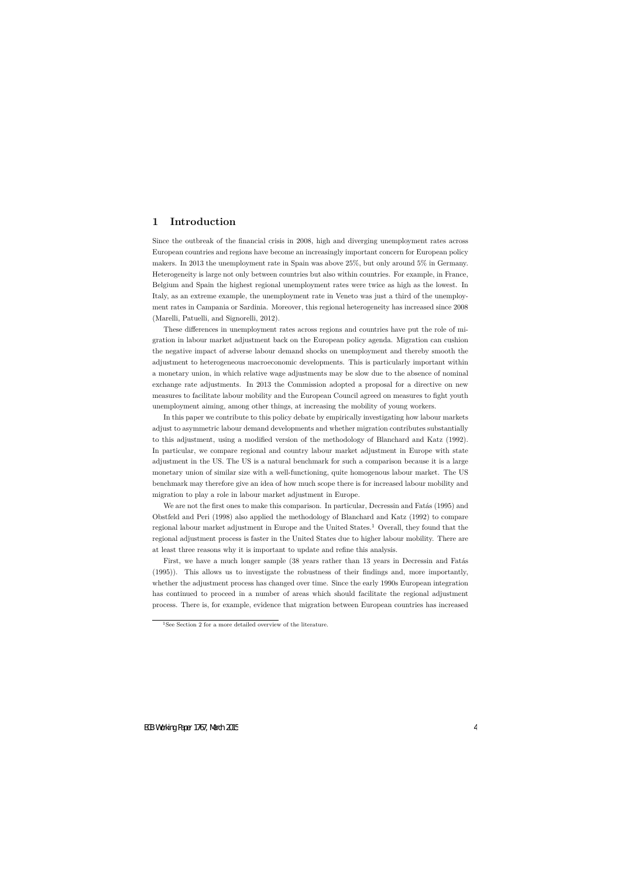# **1 Introduction**

Since the outbreak of the financial crisis in 2008, high and diverging unemployment rates across European countries and regions have become an increasingly important concern for European policy makers. In 2013 the unemployment rate in Spain was above 25%, but only around 5% in Germany. Heterogeneity is large not only between countries but also within countries. For example, in France, Belgium and Spain the highest regional unemployment rates were twice as high as the lowest. In Italy, as an extreme example, the unemployment rate in Veneto was just a third of the unemployment rates in Campania or Sardinia. Moreover, this regional heterogeneity has increased since 2008 (Marelli, Patuelli, and Signorelli, 2012).

These differences in unemployment rates across regions and countries have put the role of migration in labour market adjustment back on the European policy agenda. Migration can cushion the negative impact of adverse labour demand shocks on unemployment and thereby smooth the adjustment to heterogeneous macroeconomic developments. This is particularly important within a monetary union, in which relative wage adjustments may be slow due to the absence of nominal exchange rate adjustments. In 2013 the Commission adopted a proposal for a directive on new measures to facilitate labour mobility and the European Council agreed on measures to fight youth unemployment aiming, among other things, at increasing the mobility of young workers.

In this paper we contribute to this policy debate by empirically investigating how labour markets adjust to asymmetric labour demand developments and whether migration contributes substantially to this adjustment, using a modified version of the methodology of Blanchard and Katz (1992). In particular, we compare regional and country labour market adjustment in Europe with state adjustment in the US. The US is a natural benchmark for such a comparison because it is a large monetary union of similar size with a well-functioning, quite homogenous labour market. The US benchmark may therefore give an idea of how much scope there is for increased labour mobility and migration to play a role in labour market adjustment in Europe.

We are not the first ones to make this comparison. In particular, Decressin and Fatas (1995) and Obstfeld and Peri (1998) also applied the methodology of Blanchard and Katz (1992) to compare regional labour market adjustment in Europe and the United States.<sup>1</sup> Overall, they found that the regional adjustment process is faster in the United States due to higher labour mobility. There are at least three reasons why it is important to update and refine this analysis.

First, we have a much longer sample (38 years rather than 13 years in Decressin and Fatas (1995)). This allows us to investigate the robustness of their findings and, more importantly, whether the adjustment process has changed over time. Since the early 1990s European integration has continued to proceed in a number of areas which should facilitate the regional adjustment process. There is, for example, evidence that migration between European countries has increased

<sup>&</sup>lt;sup>1</sup>See Section 2 for a more detailed overview of the literature.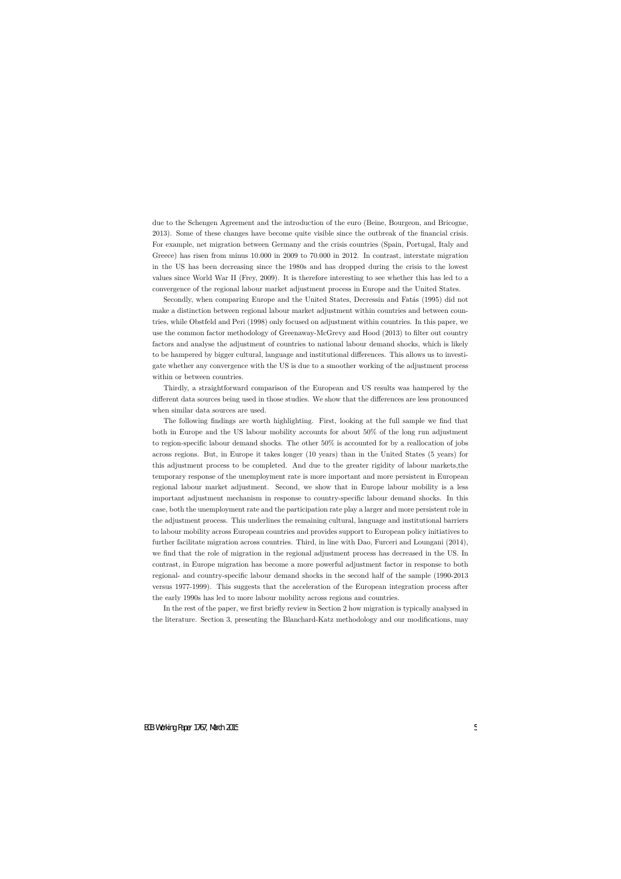due to the Schengen Agreement and the introduction of the euro (Beine, Bourgeon, and Bricogne, 2013). Some of these changes have become quite visible since the outbreak of the financial crisis. For example, net migration between Germany and the crisis countries (Spain, Portugal, Italy and Greece) has risen from minus 10.000 in 2009 to 70.000 in 2012. In contrast, interstate migration in the US has been decreasing since the 1980s and has dropped during the crisis to the lowest values since World War II (Frey, 2009). It is therefore interesting to see whether this has led to a convergence of the regional labour market adjustment process in Europe and the United States.

Secondly, when comparing Europe and the United States, Decressin and Fatás (1995) did not make a distinction between regional labour market adjustment within countries and between countries, while Obstfeld and Peri (1998) only focused on adjustment within countries. In this paper, we use the common factor methodology of Greenaway-McGrevy and Hood (2013) to filter out country factors and analyse the adjustment of countries to national labour demand shocks, which is likely to be hampered by bigger cultural, language and institutional differences. This allows us to investigate whether any convergence with the US is due to a smoother working of the adjustment process within or between countries.

Thirdly, a straightforward comparison of the European and US results was hampered by the different data sources being used in those studies. We show that the differences are less pronounced when similar data sources are used.

The following findings are worth highlighting. First, looking at the full sample we find that both in Europe and the US labour mobility accounts for about 50% of the long run adjustment to region-specific labour demand shocks. The other 50% is accounted for by a reallocation of jobs across regions. But, in Europe it takes longer (10 years) than in the United States (5 years) for this adjustment process to be completed. And due to the greater rigidity of labour markets,the temporary response of the unemployment rate is more important and more persistent in European regional labour market adjustment. Second, we show that in Europe labour mobility is a less important adjustment mechanism in response to country-specific labour demand shocks. In this case, both the unemployment rate and the participation rate play a larger and more persistent role in the adjustment process. This underlines the remaining cultural, language and institutional barriers to labour mobility across European countries and provides support to European policy initiatives to further facilitate migration across countries. Third, in line with Dao, Furceri and Loungani (2014), we find that the role of migration in the regional adjustment process has decreased in the US. In contrast, in Europe migration has become a more powerful adjustment factor in response to both regional- and country-specific labour demand shocks in the second half of the sample (1990-2013 versus 1977-1999). This suggests that the acceleration of the European integration process after the early 1990s has led to more labour mobility across regions and countries.

In the rest of the paper, we first briefly review in Section 2 how migration is typically analysed in the literature. Section 3, presenting the Blanchard-Katz methodology and our modifications, may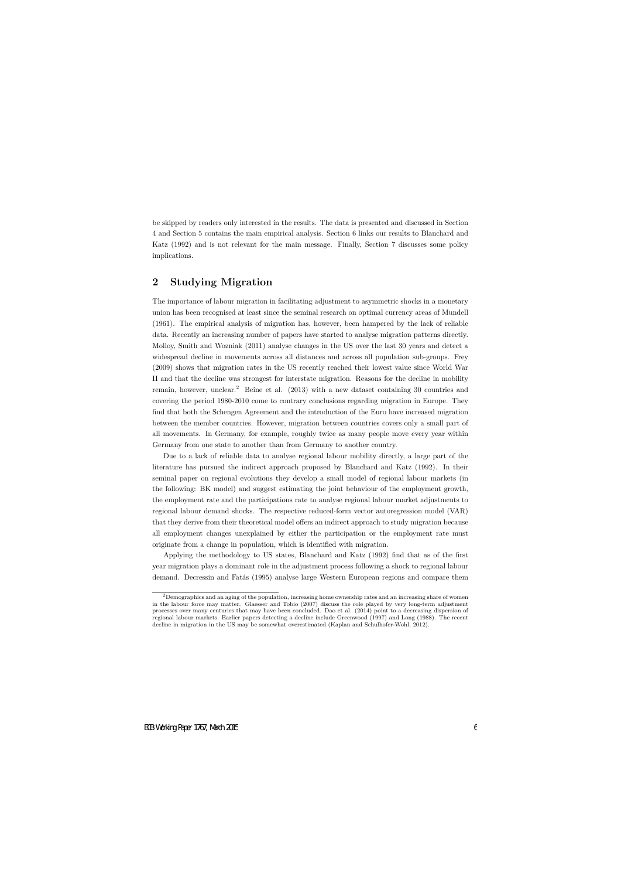be skipped by readers only interested in the results. The data is presented and discussed in Section 4 and Section 5 contains the main empirical analysis. Section 6 links our results to Blanchard and Katz (1992) and is not relevant for the main message. Finally, Section 7 discusses some policy implications.

# **2 Studying Migration**

The importance of labour migration in facilitating adjustment to asymmetric shocks in a monetary union has been recognised at least since the seminal research on optimal currency areas of Mundell (1961). The empirical analysis of migration has, however, been hampered by the lack of reliable data. Recently an increasing number of papers have started to analyse migration patterns directly. Molloy, Smith and Wozniak (2011) analyse changes in the US over the last 30 years and detect a widespread decline in movements across all distances and across all population sub-groups. Frey (2009) shows that migration rates in the US recently reached their lowest value since World War II and that the decline was strongest for interstate migration. Reasons for the decline in mobility remain, however, unclear.<sup>2</sup> Beine et al. (2013) with a new dataset containing 30 countries and covering the period 1980-2010 come to contrary conclusions regarding migration in Europe. They find that both the Schengen Agreement and the introduction of the Euro have increased migration between the member countries. However, migration between countries covers only a small part of all movements. In Germany, for example, roughly twice as many people move every year within Germany from one state to another than from Germany to another country.

Due to a lack of reliable data to analyse regional labour mobility directly, a large part of the literature has pursued the indirect approach proposed by Blanchard and Katz (1992). In their seminal paper on regional evolutions they develop a small model of regional labour markets (in the following: BK model) and suggest estimating the joint behaviour of the employment growth, the employment rate and the participations rate to analyse regional labour market adjustments to regional labour demand shocks. The respective reduced-form vector autoregression model (VAR) that they derive from their theoretical model offers an indirect approach to study migration because all employment changes unexplained by either the participation or the employment rate must originate from a change in population, which is identified with migration.

Applying the methodology to US states, Blanchard and Katz (1992) find that as of the first year migration plays a dominant role in the adjustment process following a shock to regional labour demand. Decressin and Fatás (1995) analyse large Western European regions and compare them

<sup>&</sup>lt;sup>2</sup>Demographics and an aging of the population, increasing home ownership rates and an increasing share of women in the labour force may matter. Glaesser and Tobio (2007) discuss the role played by very long-term adjustment processes over many centuries that may have been concluded. Dao et al. (2014) point to a decreasing dispersion of regional labour markets. Earlier papers detecting a decline include Greenwood (1997) and Long (1988). The recent decline in migration in the US may be somewhat overestimated (Kaplan and Schulhofer-Wohl, 2012).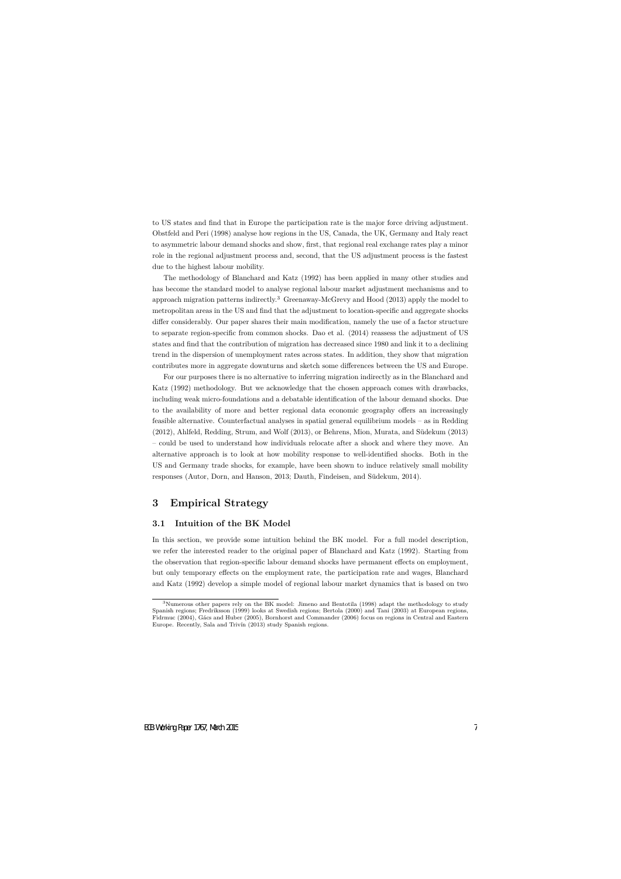to US states and find that in Europe the participation rate is the major force driving adjustment. Obstfeld and Peri (1998) analyse how regions in the US, Canada, the UK, Germany and Italy react to asymmetric labour demand shocks and show, first, that regional real exchange rates play a minor role in the regional adjustment process and, second, that the US adjustment process is the fastest due to the highest labour mobility.

The methodology of Blanchard and Katz (1992) has been applied in many other studies and has become the standard model to analyse regional labour market adjustment mechanisms and to approach migration patterns indirectly.<sup>3</sup> Greenaway-McGrevy and Hood (2013) apply the model to metropolitan areas in the US and find that the adjustment to location-specific and aggregate shocks differ considerably. Our paper shares their main modification, namely the use of a factor structure to separate region-specific from common shocks. Dao et al. (2014) reassess the adjustment of US states and find that the contribution of migration has decreased since 1980 and link it to a declining trend in the dispersion of unemployment rates across states. In addition, they show that migration contributes more in aggregate downturns and sketch some differences between the US and Europe.

For our purposes there is no alternative to inferring migration indirectly as in the Blanchard and Katz (1992) methodology. But we acknowledge that the chosen approach comes with drawbacks, including weak micro-foundations and a debatable identification of the labour demand shocks. Due to the availability of more and better regional data economic geography offers an increasingly feasible alternative. Counterfactual analyses in spatial general equilibrium models – as in Redding (2012), Ahlfeld, Redding, Strum, and Wolf (2013), or Behrens, Mion, Murata, and S¨udekum (2013) – could be used to understand how individuals relocate after a shock and where they move. An alternative approach is to look at how mobility response to well-identified shocks. Both in the US and Germany trade shocks, for example, have been shown to induce relatively small mobility responses (Autor, Dorn, and Hanson, 2013; Dauth, Findeisen, and Südekum, 2014).

## **3 Empirical Strategy**

### **3.1 Intuition of the BK Model**

In this section, we provide some intuition behind the BK model. For a full model description, we refer the interested reader to the original paper of Blanchard and Katz (1992). Starting from the observation that region-specific labour demand shocks have permanent effects on employment, but only temporary effects on the employment rate, the participation rate and wages, Blanchard and Katz (1992) develop a simple model of regional labour market dynamics that is based on two

<sup>3</sup>Numerous other papers rely on the BK model: Jimeno and Bentotila (1998) adapt the methodology to study Spanish regions; Fredriksson (1999) looks at Swedish regions; Bertola (2000) and Tani (2003) at European regions, Fidrmuc (2004), G´acs and Huber (2005), Bornhorst and Commander (2006) focus on regions in Central and Eastern Europe. Recently, Sala and Trivín (2013) study Spanish regions.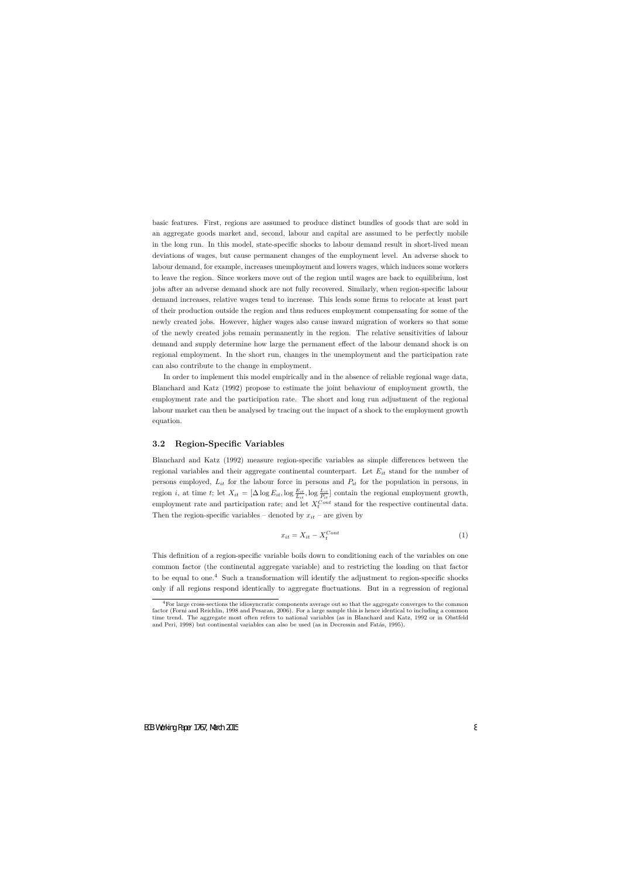basic features. First, regions are assumed to produce distinct bundles of goods that are sold in an aggregate goods market and, second, labour and capital are assumed to be perfectly mobile in the long run. In this model, state-specific shocks to labour demand result in short-lived mean deviations of wages, but cause permanent changes of the employment level. An adverse shock to labour demand, for example, increases unemployment and lowers wages, which induces some workers to leave the region. Since workers move out of the region until wages are back to equilibrium, lost jobs after an adverse demand shock are not fully recovered. Similarly, when region-specific labour demand increases, relative wages tend to increase. This leads some firms to relocate at least part of their production outside the region and thus reduces employment compensating for some of the newly created jobs. However, higher wages also cause inward migration of workers so that some of the newly created jobs remain permanently in the region. The relative sensitivities of labour demand and supply determine how large the permanent effect of the labour demand shock is on regional employment. In the short run, changes in the unemployment and the participation rate can also contribute to the change in employment.

In order to implement this model empirically and in the absence of reliable regional wage data, Blanchard and Katz (1992) propose to estimate the joint behaviour of employment growth, the employment rate and the participation rate. The short and long run adjustment of the regional labour market can then be analysed by tracing out the impact of a shock to the employment growth equation.

### **3.2 Region-Specific Variables**

Blanchard and Katz (1992) measure region-specific variables as simple differences between the regional variables and their aggregate continental counterpart. Let *Eit* stand for the number of persons employed, *Lit* for the labour force in persons and *Pit* for the population in persons, in region *i*, at time *t*; let  $X_{it} = [\Delta \log E_{it}, \log \frac{E_{it}}{L_{it}}, \log \frac{L_{it}}{P_{it}}]$  contain the regional employment growth, employment rate and participation rate; and let  $X_t^{Cont}$  stand for the respective continental data. Then the region-specific variables – denoted by  $x_{it}$  – are given by

$$
x_{it} = X_{it} - X_t^{Cont}
$$
 (1)

This definition of a region-specific variable boils down to conditioning each of the variables on one common factor (the continental aggregate variable) and to restricting the loading on that factor to be equal to one.<sup>4</sup> Such a transformation will identify the adjustment to region-specific shocks only if all regions respond identically to aggregate fluctuations. But in a regression of regional

<sup>4</sup>For large cross-sections the idiosyncratic components average out so that the aggregate converges to the common factor (Forni and Reichlin, 1998 and Pesaran, 2006). For a large sample this is hence identical to including a common time trend. The aggregate most often refers to national variables (as in Blanchard and Katz, 1992 or in Obstfeld and Peri, 1998) but continental variables can also be used (as in Decressin and Fatás, 1995).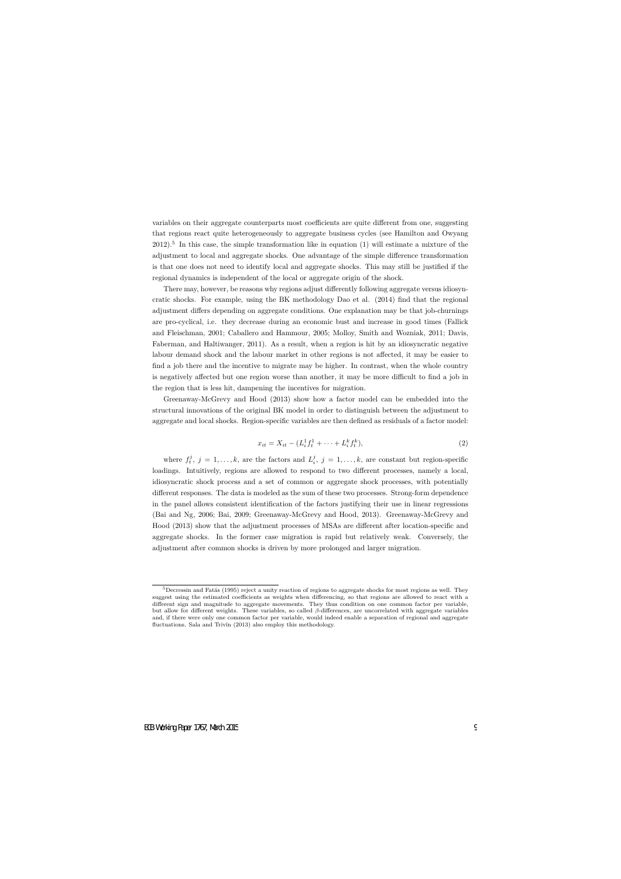variables on their aggregate counterparts most coefficients are quite different from one, suggesting that regions react quite heterogeneously to aggregate business cycles (see Hamilton and Owyang 2012).<sup>5</sup> In this case, the simple transformation like in equation (1) will estimate a mixture of the adjustment to local and aggregate shocks. One advantage of the simple difference transformation is that one does not need to identify local and aggregate shocks. This may still be justified if the regional dynamics is independent of the local or aggregate origin of the shock.

There may, however, be reasons why regions adjust differently following aggregate versus idiosyncratic shocks. For example, using the BK methodology Dao et al. (2014) find that the regional adjustment differs depending on aggregate conditions. One explanation may be that job-churnings are pro-cyclical, i.e. they decrease during an economic bust and increase in good times (Fallick and Fleischman, 2001; Caballero and Hammour, 2005; Molloy, Smith and Wozniak, 2011; Davis, Faberman, and Haltiwanger, 2011). As a result, when a region is hit by an idiosyncratic negative labour demand shock and the labour market in other regions is not affected, it may be easier to find a job there and the incentive to migrate may be higher. In contrast, when the whole country is negatively affected but one region worse than another, it may be more difficult to find a job in the region that is less hit, dampening the incentives for migration.

Greenaway-McGrevy and Hood (2013) show how a factor model can be embedded into the structural innovations of the original BK model in order to distinguish between the adjustment to aggregate and local shocks. Region-specific variables are then defined as residuals of a factor model:

$$
x_{it} = X_{it} - (L_i^1 f_t^1 + \dots + L_i^k f_t^k), \tag{2}
$$

where  $f_i^j$ ,  $j = 1, ..., k$ , are the factors and  $L_i^j$ ,  $j = 1, ..., k$ , are constant but region-specific loadings. Intuitively, regions are allowed to respond to two different processes, namely a local, idiosyncratic shock process and a set of common or aggregate shock processes, with potentially different responses. The data is modeled as the sum of these two processes. Strong-form dependence in the panel allows consistent identification of the factors justifying their use in linear regressions (Bai and Ng, 2006; Bai, 2009; Greenaway-McGrevy and Hood, 2013). Greenaway-McGrevy and Hood (2013) show that the adjustment processes of MSAs are different after location-specific and aggregate shocks. In the former case migration is rapid but relatively weak. Conversely, the adjustment after common shocks is driven by more prolonged and larger migration.

 $5$ Decressin and Fatás (1995) reject a unity reaction of regions to aggregate shocks for most regions as well. They suggest using the estimated coefficients as weights when differencing, so that regions are allowed to react with a different sign and magnitude to aggregate movements. They thus condition on one common factor per variable, but allow for different weights. These variables, so called *β*-differences, are uncorrelated with aggregate variables and, if there were only one common factor per variable, would indeed enable a separation of regional and aggregate fluctuations. Sala and Trivín (2013) also employ this methodology.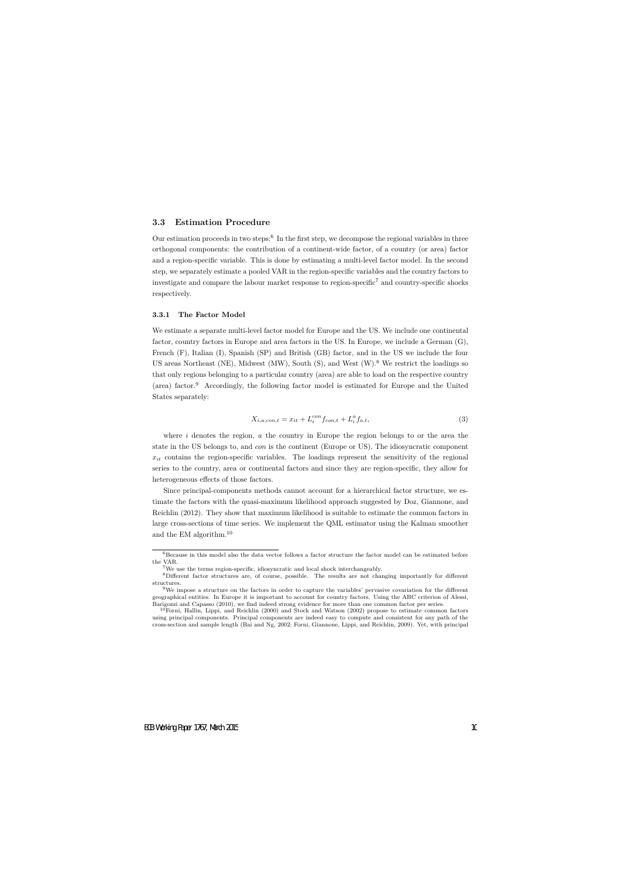### **3.3 Estimation Procedure**

Our estimation proceeds in two steps:<sup>6</sup> In the first step, we decompose the regional variables in three orthogonal components: the contribution of a continent-wide factor, of a country (or area) factor and a region-specific variable. This is done by estimating a multi-level factor model. In the second step, we separately estimate a pooled VAR in the region-specific variables and the country factors to investigate and compare the labour market response to region-specific<sup>7</sup> and country-specific shocks respectively.

#### **3.3.1 The Factor Model**

We estimate a separate multi-level factor model for Europe and the US. We include one continental factor, country factors in Europe and area factors in the US. In Europe, we include a German (G), French (F), Italian (I), Spanish (SP) and British (GB) factor, and in the US we include the four US areas Northeast (NE), Midwest (MW), South (S), and West  $(W)$ .<sup>8</sup> We restrict the loadings so that only regions belonging to a particular country (area) are able to load on the respective country (area) factor.<sup>9</sup> Accordingly, the following factor model is estimated for Europe and the United States separately:

$$
X_{i,a,con,t} = x_{it} + L_i^{con} f_{con,t} + L_i^a f_{a,t},
$$
\n(3)

where *i* denotes the region, *a* the country in Europe the region belongs to or the area the state in the US belongs to, and *con* is the continent (Europe or US). The idiosyncratic component  $x_{it}$  contains the region-specific variables. The loadings represent the sensitivity of the regional series to the country, area or continental factors and since they are region-specific, they allow for heterogeneous effects of those factors.

Since principal-components methods cannot account for a hierarchical factor structure, we estimate the factors with the quasi-maximum likelihood approach suggested by Doz, Giannone, and Reichlin (2012). They show that maximum likelihood is suitable to estimate the common factors in large cross-sections of time series. We implement the QML estimator using the Kalman smoother and the EM algorithm.<sup>10</sup>

 ${}^{6}$ Because in this model also the data vector follows a factor structure the factor model can be estimated before the VAR.

 ${\rm ^7We}$  use the terms region-specific, idiosyncratic and local shock interchangeably.

<sup>8</sup>Different factor structures are, of course, possible. The results are not changing importantly for different structures.

<sup>9</sup>We impose a structure on the factors in order to capture the variables' pervasive covariation for the different geographical entities. In Europe it is important to account for country factors. Using the ABC criterion of Alessi, Barigozzi and Capasso (2010), we find indeed strong evidence for more than one common factor per series.

<sup>&</sup>lt;sup>10</sup>Forni, Hallin, Lippi, and Reichlin (2000) and Stock and Watson (2002) propose to estimate common factors using principal components. Principal components are indeed easy to compute and consistent for any path of the cross-section and sample length (Bai and Ng, 2002; Forni, Giannone, Lippi, and Reichlin, 2009). Yet, with principal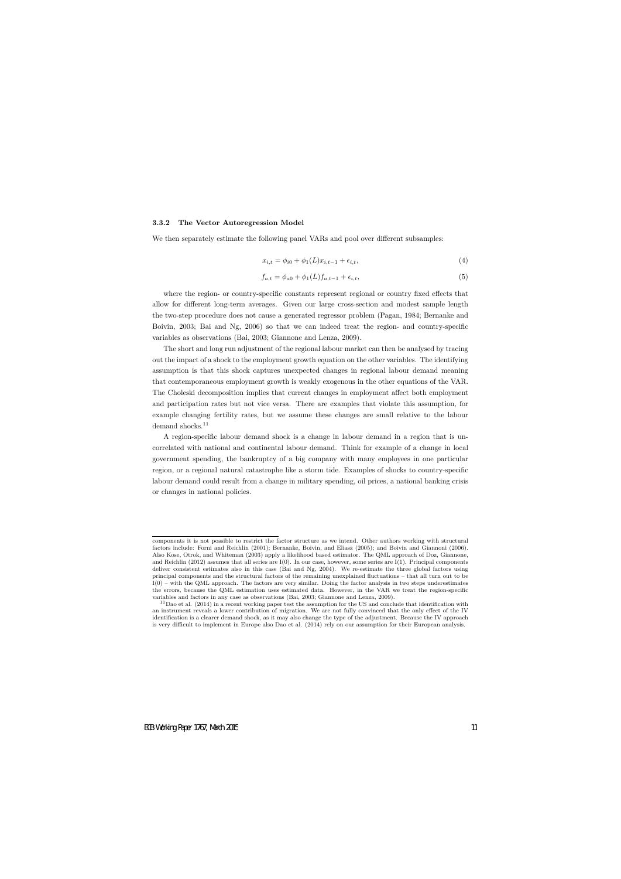#### **3.3.2 The Vector Autoregression Model**

We then separately estimate the following panel VARs and pool over different subsamples:

$$
x_{i,t} = \phi_{i0} + \phi_1(L)x_{i,t-1} + \epsilon_{i,t},
$$
\n(4)

$$
f_{a,t} = \phi_{a0} + \phi_1(L)f_{a,t-1} + \epsilon_{i,t},
$$
\n(5)

where the region- or country-specific constants represent regional or country fixed effects that allow for different long-term averages. Given our large cross-section and modest sample length the two-step procedure does not cause a generated regressor problem (Pagan, 1984; Bernanke and Boivin, 2003; Bai and Ng, 2006) so that we can indeed treat the region- and country-specific variables as observations (Bai, 2003; Giannone and Lenza, 2009).

The short and long run adjustment of the regional labour market can then be analysed by tracing out the impact of a shock to the employment growth equation on the other variables. The identifying assumption is that this shock captures unexpected changes in regional labour demand meaning that contemporaneous employment growth is weakly exogenous in the other equations of the VAR. The Choleski decomposition implies that current changes in employment affect both employment and participation rates but not vice versa. There are examples that violate this assumption, for example changing fertility rates, but we assume these changes are small relative to the labour demand shocks.<sup>11</sup>

A region-specific labour demand shock is a change in labour demand in a region that is uncorrelated with national and continental labour demand. Think for example of a change in local government spending, the bankruptcy of a big company with many employees in one particular region, or a regional natural catastrophe like a storm tide. Examples of shocks to country-specific labour demand could result from a change in military spending, oil prices, a national banking crisis or changes in national policies.

components it is not possible to restrict the factor structure as we intend. Other authors working with structural factors include: Forni and Reichlin (2001); Bernanke, Boivin, and Eliasz (2005); and Boivin and Giannoni (2006). Also Kose, Otrok, and Whiteman (2003) apply a likelihood based estimator. The QML approach of Doz, Giannone, and Reichlin (2012) assumes that all series are I(0). In our case, however, some series are I(1). Principal components deliver consistent estimates also in this case (Bai and Ng, 2004). We re-estimate the three global factors using principal components and the structural factors of the remaining unexplained fluctuations – that all turn out to be I(0) – with the QML approach. The factors are very similar. Doing the factor analysis in two steps underestimates the errors, because the QML estimation uses estimated data. However, in the VAR we treat the region-specific variables and factors in any case as observations (Bai, 2003; Giannone and Lenza, 2009).

 $11$ Dao et al. (2014) in a recent working paper test the assumption for the US and conclude that identification with an instrument reveals a lower contribution of migration. We are not fully convinced that the only effect of the IV identification is a clearer demand shock, as it may also change the type of the adjustment. Because the IV approach is very difficult to implement in Europe also Dao et al. (2014) rely on our assumption for their European analysis.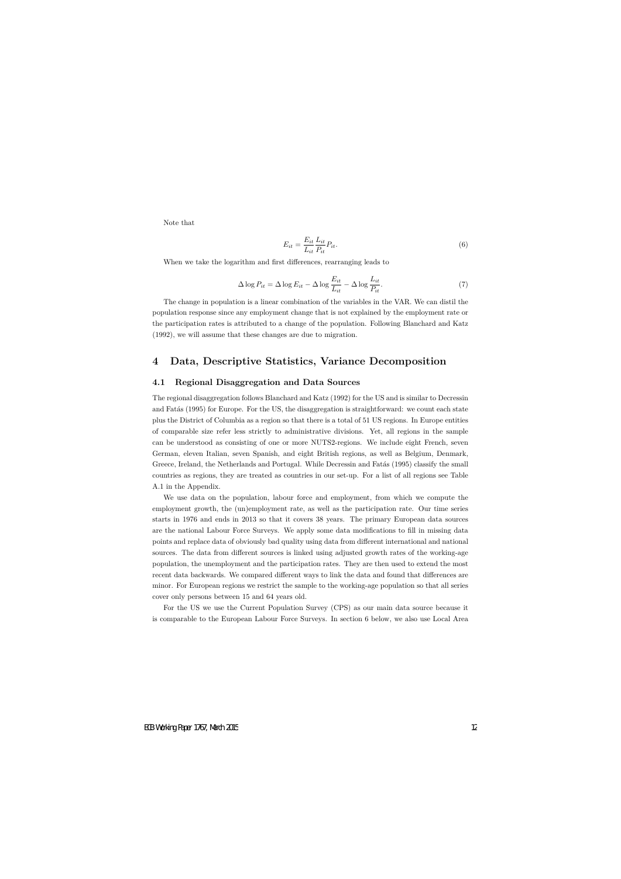Note that

$$
E_{it} = \frac{E_{it}}{L_{it}} \frac{L_{it}}{P_{it}} P_{it}.
$$
\n
$$
(6)
$$

When we take the logarithm and first differences, rearranging leads to

$$
\Delta \log P_{it} = \Delta \log E_{it} - \Delta \log \frac{E_{it}}{L_{it}} - \Delta \log \frac{L_{it}}{P_{it}}.\tag{7}
$$

The change in population is a linear combination of the variables in the VAR. We can distil the population response since any employment change that is not explained by the employment rate or the participation rates is attributed to a change of the population. Following Blanchard and Katz (1992), we will assume that these changes are due to migration.

## **4 Data, Descriptive Statistics, Variance Decomposition**

### **4.1 Regional Disaggregation and Data Sources**

The regional disaggregation follows Blanchard and Katz (1992) for the US and is similar to Decressin and Fatás (1995) for Europe. For the US, the disaggregation is straightforward: we count each state plus the District of Columbia as a region so that there is a total of 51 US regions. In Europe entities of comparable size refer less strictly to administrative divisions. Yet, all regions in the sample can be understood as consisting of one or more NUTS2-regions. We include eight French, seven German, eleven Italian, seven Spanish, and eight British regions, as well as Belgium, Denmark, Greece, Ireland, the Netherlands and Portugal. While Decressin and Fatas (1995) classify the small countries as regions, they are treated as countries in our set-up. For a list of all regions see Table A.1 in the Appendix.

We use data on the population, labour force and employment, from which we compute the employment growth, the (un)employment rate, as well as the participation rate. Our time series starts in 1976 and ends in 2013 so that it covers 38 years. The primary European data sources are the national Labour Force Surveys. We apply some data modifications to fill in missing data points and replace data of obviously bad quality using data from different international and national sources. The data from different sources is linked using adjusted growth rates of the working-age population, the unemployment and the participation rates. They are then used to extend the most recent data backwards. We compared different ways to link the data and found that differences are minor. For European regions we restrict the sample to the working-age population so that all series cover only persons between 15 and 64 years old.

For the US we use the Current Population Survey (CPS) as our main data source because it is comparable to the European Labour Force Surveys. In section 6 below, we also use Local Area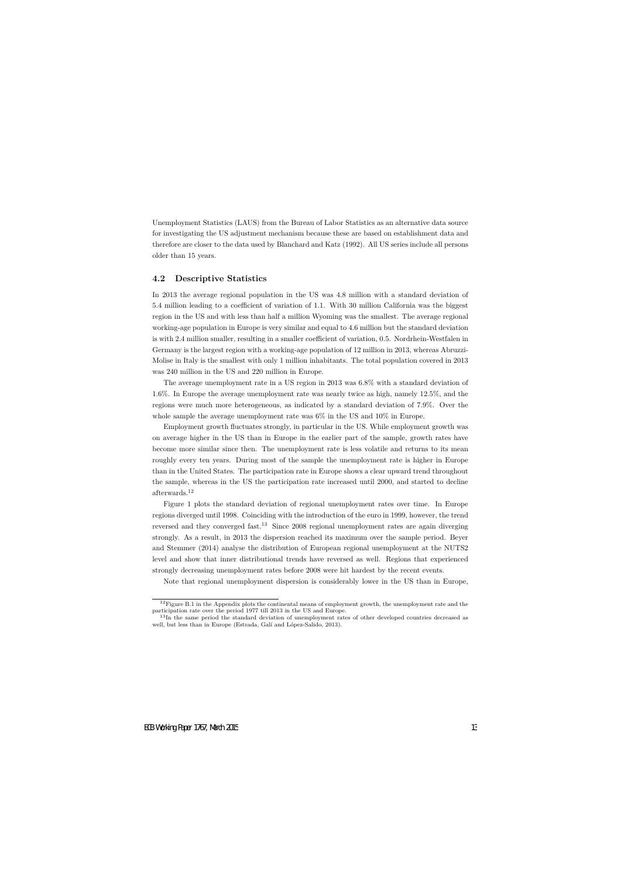Unemployment Statistics (LAUS) from the Bureau of Labor Statistics as an alternative data source for investigating the US adjustment mechanism because these are based on establishment data and therefore are closer to the data used by Blanchard and Katz (1992). All US series include all persons older than 15 years.

### **4.2 Descriptive Statistics**

In 2013 the average regional population in the US was 4.8 million with a standard deviation of 5.4 million leading to a coefficient of variation of 1.1. With 30 million California was the biggest region in the US and with less than half a million Wyoming was the smallest. The average regional working-age population in Europe is very similar and equal to 4.6 million but the standard deviation is with 2.4 million smaller, resulting in a smaller coefficient of variation, 0.5. Nordrhein-Westfalen in Germany is the largest region with a working-age population of 12 million in 2013, whereas Abruzzi-Molise in Italy is the smallest with only 1 million inhabitants. The total population covered in 2013 was 240 million in the US and 220 million in Europe.

The average unemployment rate in a US region in 2013 was 6*.*8% with a standard deviation of 1*.*6%. In Europe the average unemployment rate was nearly twice as high, namely 12*.*5%, and the regions were much more heterogeneous, as indicated by a standard deviation of 7*.*9%. Over the whole sample the average unemployment rate was 6% in the US and 10% in Europe.

Employment growth fluctuates strongly, in particular in the US. While employment growth was on average higher in the US than in Europe in the earlier part of the sample, growth rates have become more similar since then. The unemployment rate is less volatile and returns to its mean roughly every ten years. During most of the sample the unemployment rate is higher in Europe than in the United States. The participation rate in Europe shows a clear upward trend throughout the sample, whereas in the US the participation rate increased until 2000, and started to decline afterwards.<sup>12</sup>

Figure 1 plots the standard deviation of regional unemployment rates over time. In Europe regions diverged until 1998. Coinciding with the introduction of the euro in 1999, however, the trend reversed and they converged fast.<sup>13</sup> Since 2008 regional unemployment rates are again diverging strongly. As a result, in 2013 the dispersion reached its maximum over the sample period. Beyer and Stemmer (2014) analyse the distribution of European regional unemployment at the NUTS2 level and show that inner distributional trends have reversed as well. Regions that experienced strongly decreasing unemployment rates before 2008 were hit hardest by the recent events.

Note that regional unemployment dispersion is considerably lower in the US than in Europe,

 $12$ Figure B.1 in the Appendix plots the continental means of employment growth, the unemployment rate and the participation rate over the period 1977 till 2013 in the US and Europe.

<sup>&</sup>lt;sup>13</sup>In the same period the standard deviation of unemployment rates of other developed countries decreased as well, but less than in Europe (Estrada, Galí and López-Salido, 2013).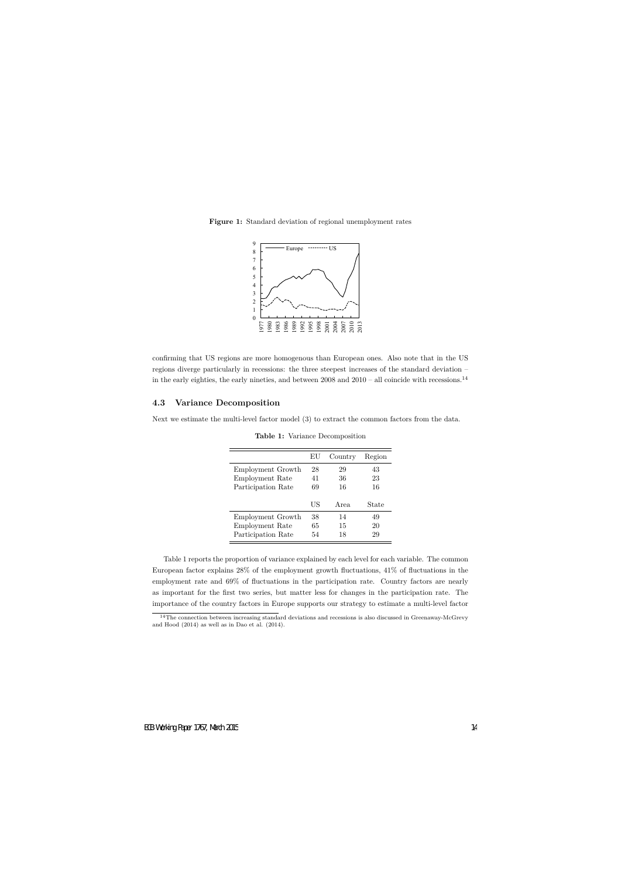

**Figure 1:** Standard deviation of regional unemployment rates

confirming that US regions are more homogenous than European ones. Also note that in the US regions diverge particularly in recessions: the three steepest increases of the standard deviation – in the early eighties, the early nineties, and between  $2008$  and  $2010 -$  all coincide with recessions.<sup>14</sup>

### **4.3 Variance Decomposition**

Next we estimate the multi-level factor model (3) to extract the common factors from the data.

|                    | EU | Country | Region |
|--------------------|----|---------|--------|
| Employment Growth  | 28 | 29      | 43     |
| Employment Rate    | 41 | 36      | 23     |
| Participation Rate | 69 | 16      | 16     |
|                    | US | Area    | State  |
| Employment Growth  | 38 | 14      | 49     |
| Employment Rate    | 65 | 15      | 20     |
| Participation Rate | 54 | 18      | 29     |

**Table 1:** Variance Decomposition

Table 1 reports the proportion of variance explained by each level for each variable. The common European factor explains 28% of the employment growth fluctuations, 41% of fluctuations in the employment rate and 69% of fluctuations in the participation rate. Country factors are nearly as important for the first two series, but matter less for changes in the participation rate. The importance of the country factors in Europe supports our strategy to estimate a multi-level factor

<sup>14</sup>The connection between increasing standard deviations and recessions is also discussed in Greenaway-McGrevy and Hood (2014) as well as in Dao et al. (2014).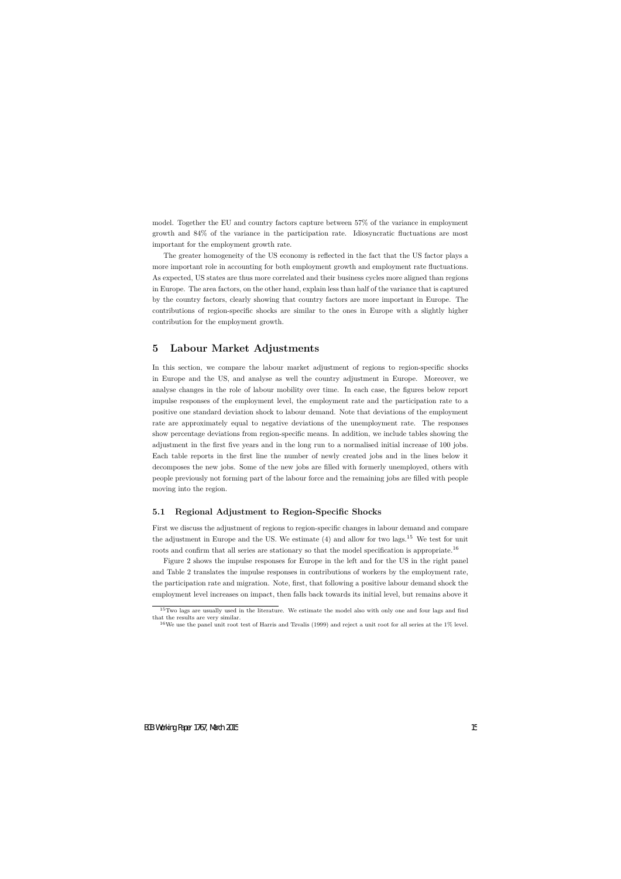model. Together the EU and country factors capture between 57% of the variance in employment growth and 84% of the variance in the participation rate. Idiosyncratic fluctuations are most important for the employment growth rate.

The greater homogeneity of the US economy is reflected in the fact that the US factor plays a more important role in accounting for both employment growth and employment rate fluctuations. As expected, US states are thus more correlated and their business cycles more aligned than regions in Europe. The area factors, on the other hand, explain less than half of the variance that is captured by the country factors, clearly showing that country factors are more important in Europe. The contributions of region-specific shocks are similar to the ones in Europe with a slightly higher contribution for the employment growth.

## **5 Labour Market Adjustments**

In this section, we compare the labour market adjustment of regions to region-specific shocks in Europe and the US, and analyse as well the country adjustment in Europe. Moreover, we analyse changes in the role of labour mobility over time. In each case, the figures below report impulse responses of the employment level, the employment rate and the participation rate to a positive one standard deviation shock to labour demand. Note that deviations of the employment rate are approximately equal to negative deviations of the unemployment rate. The responses show percentage deviations from region-specific means. In addition, we include tables showing the adjustment in the first five years and in the long run to a normalised initial increase of 100 jobs. Each table reports in the first line the number of newly created jobs and in the lines below it decomposes the new jobs. Some of the new jobs are filled with formerly unemployed, others with people previously not forming part of the labour force and the remaining jobs are filled with people moving into the region.

### **5.1 Regional Adjustment to Region-Specific Shocks**

First we discuss the adjustment of regions to region-specific changes in labour demand and compare the adjustment in Europe and the US. We estimate  $(4)$  and allow for two lags.<sup>15</sup> We test for unit roots and confirm that all series are stationary so that the model specification is appropriate.<sup>16</sup>

Figure 2 shows the impulse responses for Europe in the left and for the US in the right panel and Table 2 translates the impulse responses in contributions of workers by the employment rate, the participation rate and migration. Note, first, that following a positive labour demand shock the employment level increases on impact, then falls back towards its initial level, but remains above it

<sup>15</sup>Two lags are usually used in the literature. We estimate the model also with only one and four lags and find that the results are very similar.

<sup>&</sup>lt;sup>16</sup>We use the panel unit root test of Harris and Tzvalis (1999) and reject a unit root for all series at the 1% level.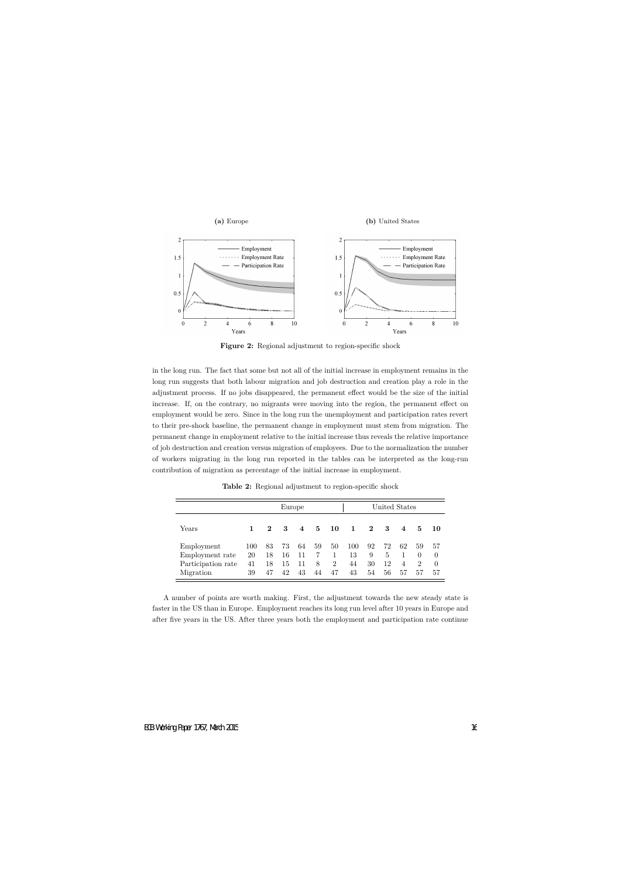

**Figure 2:** Regional adjustment to region-specific shock

in the long run. The fact that some but not all of the initial increase in employment remains in the long run suggests that both labour migration and job destruction and creation play a role in the adjustment process. If no jobs disappeared, the permanent effect would be the size of the initial increase. If, on the contrary, no migrants were moving into the region, the permanent effect on employment would be zero. Since in the long run the unemployment and participation rates revert to their pre-shock baseline, the permanent change in employment must stem from migration. The permanent change in employment relative to the initial increase thus reveals the relative importance of job destruction and creation versus migration of employees. Due to the normalization the number of workers migrating in the long run reported in the tables can be interpreted as the long-run contribution of migration as percentage of the initial increase in employment.

|                                                     |                 |                | Europe         |                |              |                           |                 |               |               | United States        |                                 |                            |
|-----------------------------------------------------|-----------------|----------------|----------------|----------------|--------------|---------------------------|-----------------|---------------|---------------|----------------------|---------------------------------|----------------------------|
| Years                                               |                 | $\mathbf{2}$   | 3              | 4              | 5.           | 10                        | 1               | $\mathbf{2}$  | 3             | $\overline{4}$       | 5                               | -10                        |
| Employment<br>Employment rate<br>Participation rate | 100<br>20<br>41 | 83<br>18<br>18 | 73<br>16<br>15 | 64<br>11<br>11 | 59<br>7<br>8 | 50<br>1<br>$\overline{2}$ | 100<br>13<br>44 | 92<br>9<br>30 | 72<br>5<br>12 | 62<br>$\overline{4}$ | 59<br>$\theta$<br>$\mathcal{D}$ | 57<br>$\theta$<br>$\theta$ |
| Migration                                           | 39              | 47             | 42             | 43             | 44           | 47                        | 43              | 54            | 56            | 57                   | 57                              | 57                         |

**Table 2:** Regional adjustment to region-specific shock

A number of points are worth making. First, the adjustment towards the new steady state is faster in the US than in Europe. Employment reaches its long run level after 10 years in Europe and after five years in the US. After three years both the employment and participation rate continue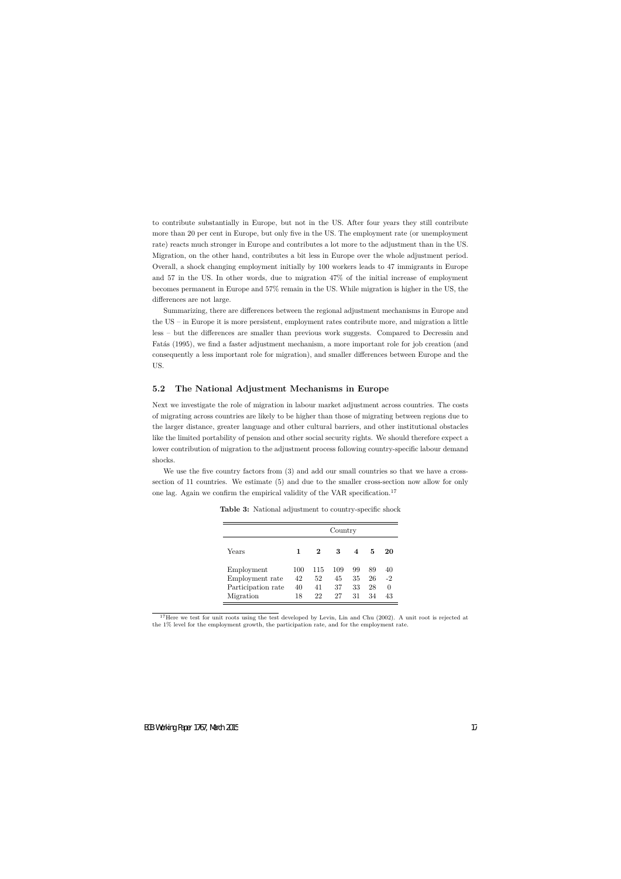to contribute substantially in Europe, but not in the US. After four years they still contribute more than 20 per cent in Europe, but only five in the US. The employment rate (or unemployment rate) reacts much stronger in Europe and contributes a lot more to the adjustment than in the US. Migration, on the other hand, contributes a bit less in Europe over the whole adjustment period. Overall, a shock changing employment initially by 100 workers leads to 47 immigrants in Europe and 57 in the US. In other words, due to migration 47% of the initial increase of employment becomes permanent in Europe and 57% remain in the US. While migration is higher in the US, the differences are not large.

Summarizing, there are differences between the regional adjustment mechanisms in Europe and the US – in Europe it is more persistent, employment rates contribute more, and migration a little less – but the differences are smaller than previous work suggests. Compared to Decressin and Fatás (1995), we find a faster adjustment mechanism, a more important role for job creation (and consequently a less important role for migration), and smaller differences between Europe and the US.

### **5.2 The National Adjustment Mechanisms in Europe**

Next we investigate the role of migration in labour market adjustment across countries. The costs of migrating across countries are likely to be higher than those of migrating between regions due to the larger distance, greater language and other cultural barriers, and other institutional obstacles like the limited portability of pension and other social security rights. We should therefore expect a lower contribution of migration to the adjustment process following country-specific labour demand shocks.

We use the five country factors from  $(3)$  and add our small countries so that we have a crosssection of 11 countries. We estimate (5) and due to the smaller cross-section now allow for only one lag. Again we confirm the empirical validity of the VAR specification.<sup>17</sup>

|                                                                  |                       |                       | Country               |                        |                      |                              |
|------------------------------------------------------------------|-----------------------|-----------------------|-----------------------|------------------------|----------------------|------------------------------|
| Years                                                            | 1                     | 2                     | 3                     | $\boldsymbol{\Lambda}$ | 5                    | 20                           |
| Employment<br>Employment rate<br>Participation rate<br>Migration | 100<br>42<br>40<br>18 | 115<br>52<br>41<br>22 | 109<br>45<br>37<br>27 | 99<br>35<br>33<br>31   | 89<br>26<br>28<br>34 | 40<br>$-2$<br>$\Omega$<br>43 |

**Table 3:** National adjustment to country-specific shock

<sup>17</sup>Here we test for unit roots using the test developed by Levin, Lin and Chu (2002). A unit root is rejected at the 1% level for the employment growth, the participation rate, and for the employment rate.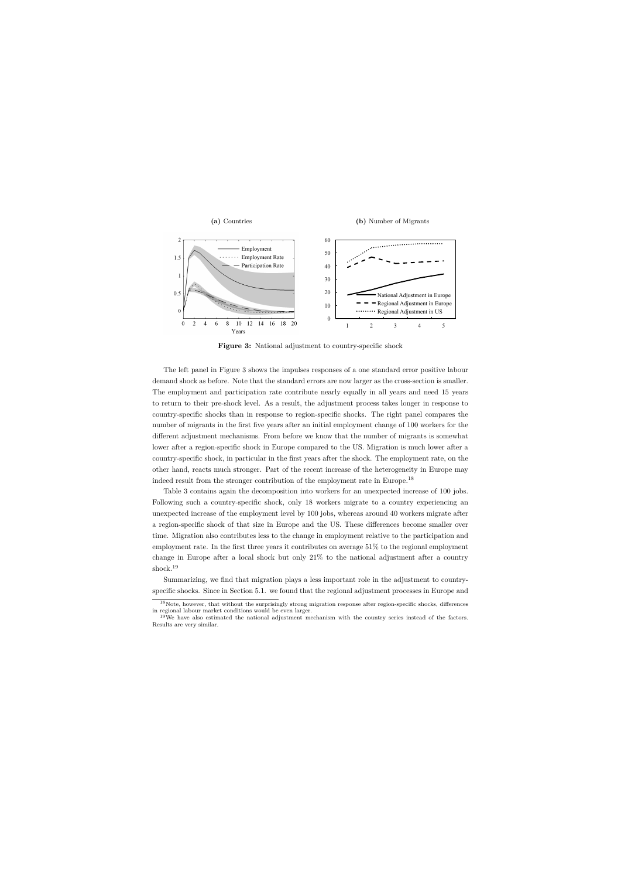

**Figure 3:** National adjustment to country-specific shock

The left panel in Figure 3 shows the impulses responses of a one standard error positive labour demand shock as before. Note that the standard errors are now larger as the cross-section is smaller. The employment and participation rate contribute nearly equally in all years and need 15 years to return to their pre-shock level. As a result, the adjustment process takes longer in response to country-specific shocks than in response to region-specific shocks. The right panel compares the number of migrants in the first five years after an initial employment change of 100 workers for the different adjustment mechanisms. From before we know that the number of migrants is somewhat lower after a region-specific shock in Europe compared to the US. Migration is much lower after a country-specific shock, in particular in the first years after the shock. The employment rate, on the other hand, reacts much stronger. Part of the recent increase of the heterogeneity in Europe may indeed result from the stronger contribution of the employment rate in Europe.<sup>18</sup>

Table 3 contains again the decomposition into workers for an unexpected increase of 100 jobs. Following such a country-specific shock, only 18 workers migrate to a country experiencing an unexpected increase of the employment level by 100 jobs, whereas around 40 workers migrate after a region-specific shock of that size in Europe and the US. These differences become smaller over time. Migration also contributes less to the change in employment relative to the participation and employment rate. In the first three years it contributes on average 51% to the regional employment change in Europe after a local shock but only 21% to the national adjustment after a country shock.<sup>19</sup>

Summarizing, we find that migration plays a less important role in the adjustment to countryspecific shocks. Since in Section 5.1. we found that the regional adjustment processes in Europe and

<sup>&</sup>lt;sup>18</sup>Note, however, that without the surprisingly strong migration response after region-specific shocks, differences in regional labour market conditions would be even larger.

<sup>&</sup>lt;sup>19</sup>We have also estimated the national adjustment mechanism with the country series instead of the factors. Results are very similar.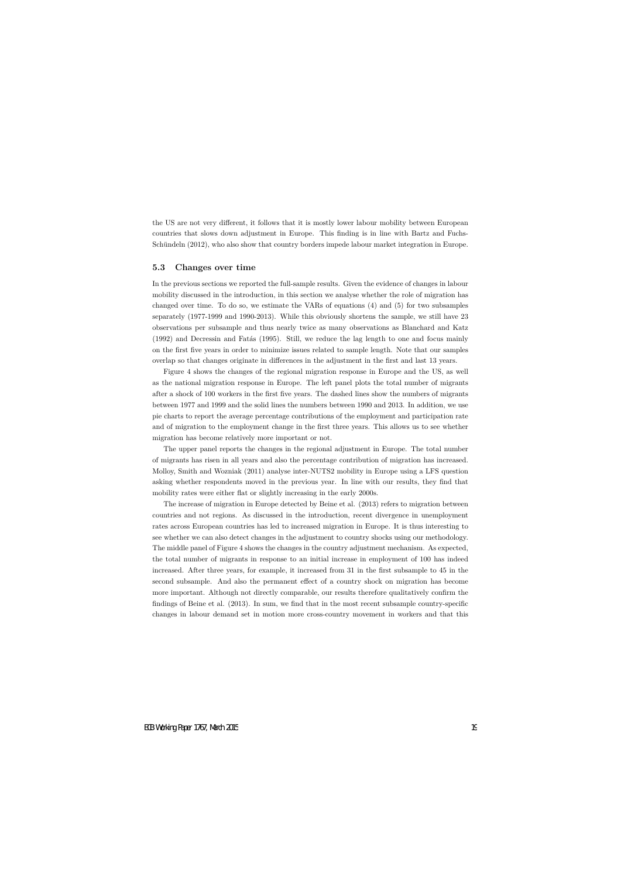the US are not very different, it follows that it is mostly lower labour mobility between European countries that slows down adjustment in Europe. This finding is in line with Bartz and Fuchs-Schündeln (2012), who also show that country borders impede labour market integration in Europe.

#### **5.3 Changes over time**

In the previous sections we reported the full-sample results. Given the evidence of changes in labour mobility discussed in the introduction, in this section we analyse whether the role of migration has changed over time. To do so, we estimate the VARs of equations (4) and (5) for two subsamples separately (1977-1999 and 1990-2013). While this obviously shortens the sample, we still have 23 observations per subsample and thus nearly twice as many observations as Blanchard and Katz  $(1992)$  and Decressin and Fatás  $(1995)$ . Still, we reduce the lag length to one and focus mainly on the first five years in order to minimize issues related to sample length. Note that our samples overlap so that changes originate in differences in the adjustment in the first and last 13 years.

Figure 4 shows the changes of the regional migration response in Europe and the US, as well as the national migration response in Europe. The left panel plots the total number of migrants after a shock of 100 workers in the first five years. The dashed lines show the numbers of migrants between 1977 and 1999 and the solid lines the numbers between 1990 and 2013. In addition, we use pie charts to report the average percentage contributions of the employment and participation rate and of migration to the employment change in the first three years. This allows us to see whether migration has become relatively more important or not.

The upper panel reports the changes in the regional adjustment in Europe. The total number of migrants has risen in all years and also the percentage contribution of migration has increased. Molloy, Smith and Wozniak (2011) analyse inter-NUTS2 mobility in Europe using a LFS question asking whether respondents moved in the previous year. In line with our results, they find that mobility rates were either flat or slightly increasing in the early 2000s.

The increase of migration in Europe detected by Beine et al. (2013) refers to migration between countries and not regions. As discussed in the introduction, recent divergence in unemployment rates across European countries has led to increased migration in Europe. It is thus interesting to see whether we can also detect changes in the adjustment to country shocks using our methodology. The middle panel of Figure 4 shows the changes in the country adjustment mechanism. As expected, the total number of migrants in response to an initial increase in employment of 100 has indeed increased. After three years, for example, it increased from 31 in the first subsample to 45 in the second subsample. And also the permanent effect of a country shock on migration has become more important. Although not directly comparable, our results therefore qualitatively confirm the findings of Beine et al. (2013). In sum, we find that in the most recent subsample country-specific changes in labour demand set in motion more cross-country movement in workers and that this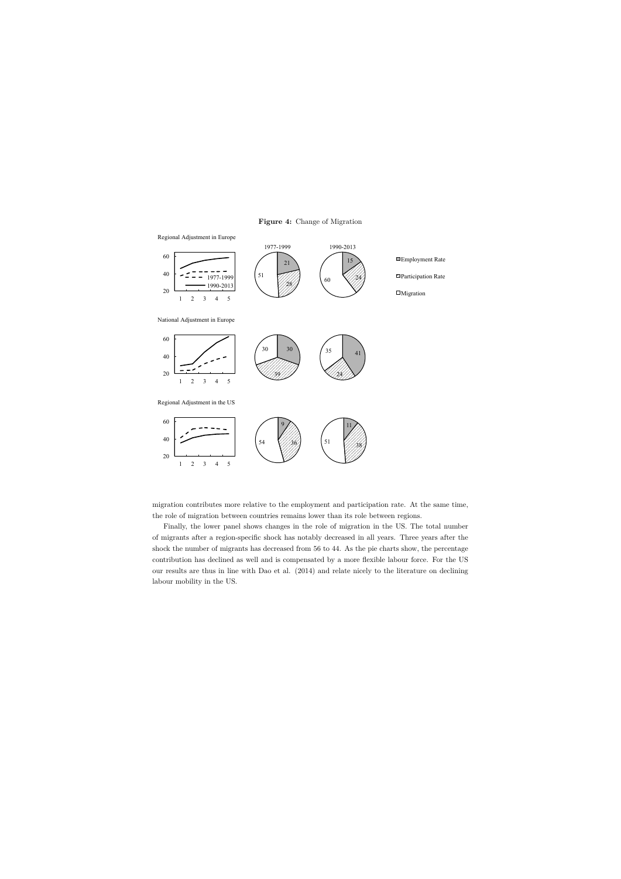**Figure 4:** Change of Migration



migration contributes more relative to the employment and participation rate. At the same time, the role of migration between countries remains lower than its role between regions.

Finally, the lower panel shows changes in the role of migration in the US. The total number of migrants after a region-specific shock has notably decreased in all years. Three years after the shock the number of migrants has decreased from 56 to 44. As the pie charts show, the percentage contribution has declined as well and is compensated by a more flexible labour force. For the US our results are thus in line with Dao et al. (2014) and relate nicely to the literature on declining labour mobility in the US.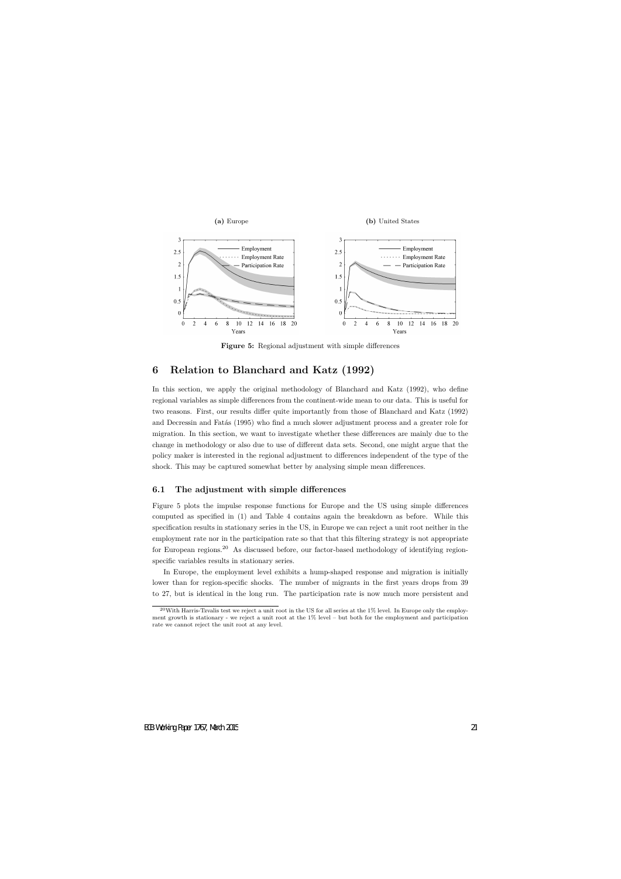

**Figure 5:** Regional adjustment with simple differences

# **6 Relation to Blanchard and Katz (1992)**

In this section, we apply the original methodology of Blanchard and Katz (1992), who define regional variables as simple differences from the continent-wide mean to our data. This is useful for two reasons. First, our results differ quite importantly from those of Blanchard and Katz (1992) and Decressin and Fatás (1995) who find a much slower adjustment process and a greater role for migration. In this section, we want to investigate whether these differences are mainly due to the change in methodology or also due to use of different data sets. Second, one might argue that the policy maker is interested in the regional adjustment to differences independent of the type of the shock. This may be captured somewhat better by analysing simple mean differences.

### **6.1 The adjustment with simple differences**

Figure 5 plots the impulse response functions for Europe and the US using simple differences computed as specified in (1) and Table 4 contains again the breakdown as before. While this specification results in stationary series in the US, in Europe we can reject a unit root neither in the employment rate nor in the participation rate so that that this filtering strategy is not appropriate for European regions.<sup>20</sup> As discussed before, our factor-based methodology of identifying regionspecific variables results in stationary series.

In Europe, the employment level exhibits a hump-shaped response and migration is initially lower than for region-specific shocks. The number of migrants in the first years drops from 39 to 27, but is identical in the long run. The participation rate is now much more persistent and

 $20$ With Harris-Tzvalis test we reject a unit root in the US for all series at the 1% level. In Europe only the employment growth is stationary - we reject a unit root at the 1% level – but both for the employment and participation rate we cannot reject the unit root at any level.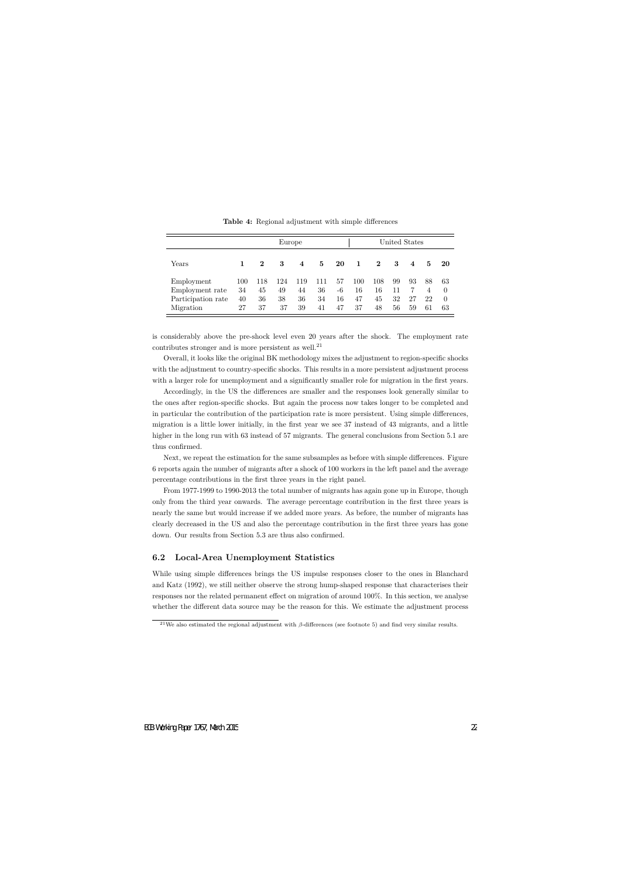|                                                                  | Europe                |                       |                       |                       |                       |                      |                       | United States         |                      |                         |                                  |                                  |
|------------------------------------------------------------------|-----------------------|-----------------------|-----------------------|-----------------------|-----------------------|----------------------|-----------------------|-----------------------|----------------------|-------------------------|----------------------------------|----------------------------------|
| Years                                                            |                       | 2                     | 3                     | 4                     | 5                     | 20                   | 1                     | $\mathbf 2$           | 3                    | $\overline{\mathbf{4}}$ | 5                                | -20                              |
| Employment<br>Employment rate<br>Participation rate<br>Migration | 100<br>34<br>40<br>27 | 118<br>45<br>36<br>37 | 124<br>49<br>38<br>37 | 119<br>44<br>36<br>39 | 111<br>36<br>34<br>41 | 57<br>-6<br>16<br>47 | 100<br>16<br>47<br>37 | 108<br>16<br>45<br>48 | 99<br>11<br>32<br>56 | 93<br>27<br>59          | 88<br>$\overline{4}$<br>22<br>61 | 63<br>$\Omega$<br>$\Omega$<br>63 |

**Table 4:** Regional adjustment with simple differences

is considerably above the pre-shock level even 20 years after the shock. The employment rate contributes stronger and is more persistent as well.<sup>21</sup>

Overall, it looks like the original BK methodology mixes the adjustment to region-specific shocks with the adjustment to country-specific shocks. This results in a more persistent adjustment process with a larger role for unemployment and a significantly smaller role for migration in the first years.

Accordingly, in the US the differences are smaller and the responses look generally similar to the ones after region-specific shocks. But again the process now takes longer to be completed and in particular the contribution of the participation rate is more persistent. Using simple differences, migration is a little lower initially, in the first year we see 37 instead of 43 migrants, and a little higher in the long run with 63 instead of 57 migrants. The general conclusions from Section 5.1 are thus confirmed.

Next, we repeat the estimation for the same subsamples as before with simple differences. Figure 6 reports again the number of migrants after a shock of 100 workers in the left panel and the average percentage contributions in the first three years in the right panel.

From 1977-1999 to 1990-2013 the total number of migrants has again gone up in Europe, though only from the third year onwards. The average percentage contribution in the first three years is nearly the same but would increase if we added more years. As before, the number of migrants has clearly decreased in the US and also the percentage contribution in the first three years has gone down. Our results from Section 5.3 are thus also confirmed.

### **6.2 Local-Area Unemployment Statistics**

While using simple differences brings the US impulse responses closer to the ones in Blanchard and Katz (1992), we still neither observe the strong hump-shaped response that characterises their responses nor the related permanent effect on migration of around 100%. In this section, we analyse whether the different data source may be the reason for this. We estimate the adjustment process

<sup>&</sup>lt;sup>21</sup>We also estimated the regional adjustment with  $\beta$ -differences (see footnote 5) and find very similar results.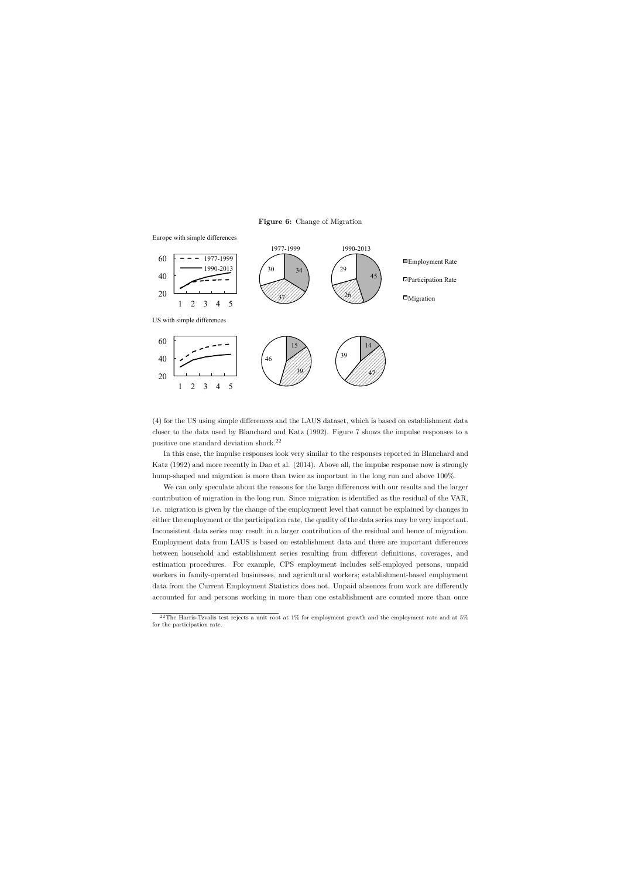**Figure 6:** Change of Migration



(4) for the US using simple differences and the LAUS dataset, which is based on establishment data closer to the data used by Blanchard and Katz (1992). Figure 7 shows the impulse responses to a positive one standard deviation shock.<sup>22</sup>

In this case, the impulse responses look very similar to the responses reported in Blanchard and Katz (1992) and more recently in Dao et al. (2014). Above all, the impulse response now is strongly hump-shaped and migration is more than twice as important in the long run and above 100%.

We can only speculate about the reasons for the large differences with our results and the larger contribution of migration in the long run. Since migration is identified as the residual of the VAR, i.e. migration is given by the change of the employment level that cannot be explained by changes in either the employment or the participation rate, the quality of the data series may be very important. Inconsistent data series may result in a larger contribution of the residual and hence of migration. Employment data from LAUS is based on establishment data and there are important differences between household and establishment series resulting from different definitions, coverages, and estimation procedures. For example, CPS employment includes self-employed persons, unpaid workers in family-operated businesses, and agricultural workers; establishment-based employment data from the Current Employment Statistics does not. Unpaid absences from work are differently accounted for and persons working in more than one establishment are counted more than once

 $^{22}$ The Harris-Tzvalis test rejects a unit root at 1% for employment growth and the employment rate and at 5% for the participation rate.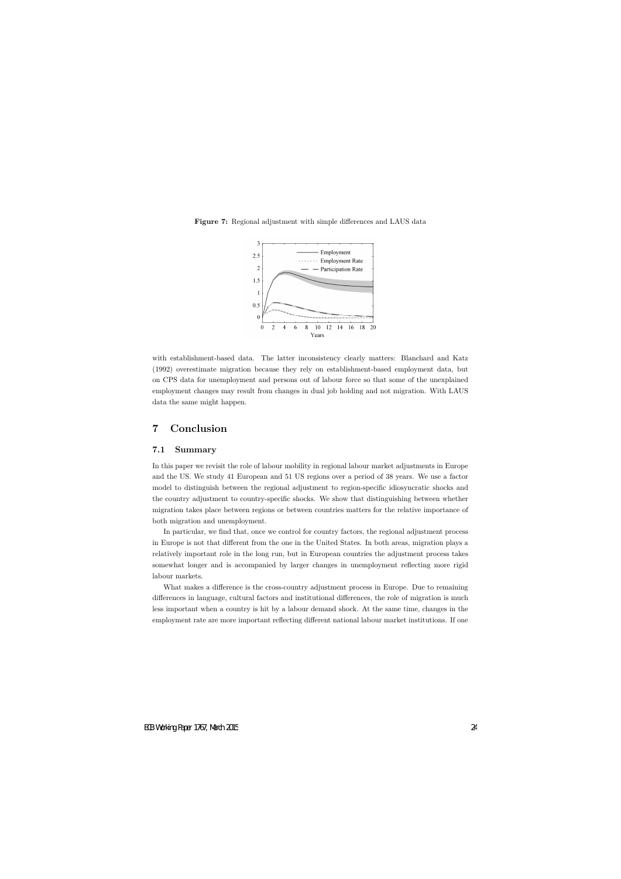

**Figure 7:** Regional adjustment with simple differences and LAUS data

with establishment-based data. The latter inconsistency clearly matters: Blanchard and Katz (1992) overestimate migration because they rely on establishment-based employment data, but on CPS data for unemployment and persons out of labour force so that some of the unexplained employment changes may result from changes in dual job holding and not migration. With LAUS data the same might happen.

# **7 Conclusion**

#### **7.1 Summary**

In this paper we revisit the role of labour mobility in regional labour market adjustments in Europe and the US. We study 41 European and 51 US regions over a period of 38 years. We use a factor model to distinguish between the regional adjustment to region-specific idiosyncratic shocks and the country adjustment to country-specific shocks. We show that distinguishing between whether migration takes place between regions or between countries matters for the relative importance of both migration and unemployment.

In particular, we find that, once we control for country factors, the regional adjustment process in Europe is not that different from the one in the United States. In both areas, migration plays a relatively important role in the long run, but in European countries the adjustment process takes somewhat longer and is accompanied by larger changes in unemployment reflecting more rigid labour markets.

What makes a difference is the cross-country adjustment process in Europe. Due to remaining differences in language, cultural factors and institutional differences, the role of migration is much less important when a country is hit by a labour demand shock. At the same time, changes in the employment rate are more important reflecting different national labour market institutions. If one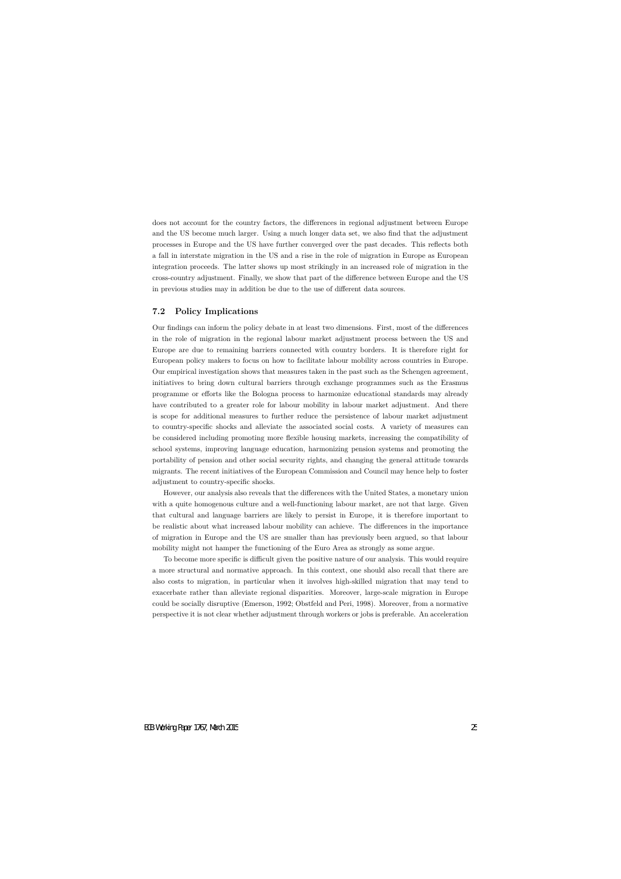does not account for the country factors, the differences in regional adjustment between Europe and the US become much larger. Using a much longer data set, we also find that the adjustment processes in Europe and the US have further converged over the past decades. This reflects both a fall in interstate migration in the US and a rise in the role of migration in Europe as European integration proceeds. The latter shows up most strikingly in an increased role of migration in the cross-country adjustment. Finally, we show that part of the difference between Europe and the US in previous studies may in addition be due to the use of different data sources.

### **7.2 Policy Implications**

Our findings can inform the policy debate in at least two dimensions. First, most of the differences in the role of migration in the regional labour market adjustment process between the US and Europe are due to remaining barriers connected with country borders. It is therefore right for European policy makers to focus on how to facilitate labour mobility across countries in Europe. Our empirical investigation shows that measures taken in the past such as the Schengen agreement, initiatives to bring down cultural barriers through exchange programmes such as the Erasmus programme or efforts like the Bologna process to harmonize educational standards may already have contributed to a greater role for labour mobility in labour market adjustment. And there is scope for additional measures to further reduce the persistence of labour market adjustment to country-specific shocks and alleviate the associated social costs. A variety of measures can be considered including promoting more flexible housing markets, increasing the compatibility of school systems, improving language education, harmonizing pension systems and promoting the portability of pension and other social security rights, and changing the general attitude towards migrants. The recent initiatives of the European Commission and Council may hence help to foster adjustment to country-specific shocks.

However, our analysis also reveals that the differences with the United States, a monetary union with a quite homogenous culture and a well-functioning labour market, are not that large. Given that cultural and language barriers are likely to persist in Europe, it is therefore important to be realistic about what increased labour mobility can achieve. The differences in the importance of migration in Europe and the US are smaller than has previously been argued, so that labour mobility might not hamper the functioning of the Euro Area as strongly as some argue.

To become more specific is difficult given the positive nature of our analysis. This would require a more structural and normative approach. In this context, one should also recall that there are also costs to migration, in particular when it involves high-skilled migration that may tend to exacerbate rather than alleviate regional disparities. Moreover, large-scale migration in Europe could be socially disruptive (Emerson, 1992; Obstfeld and Peri, 1998). Moreover, from a normative perspective it is not clear whether adjustment through workers or jobs is preferable. An acceleration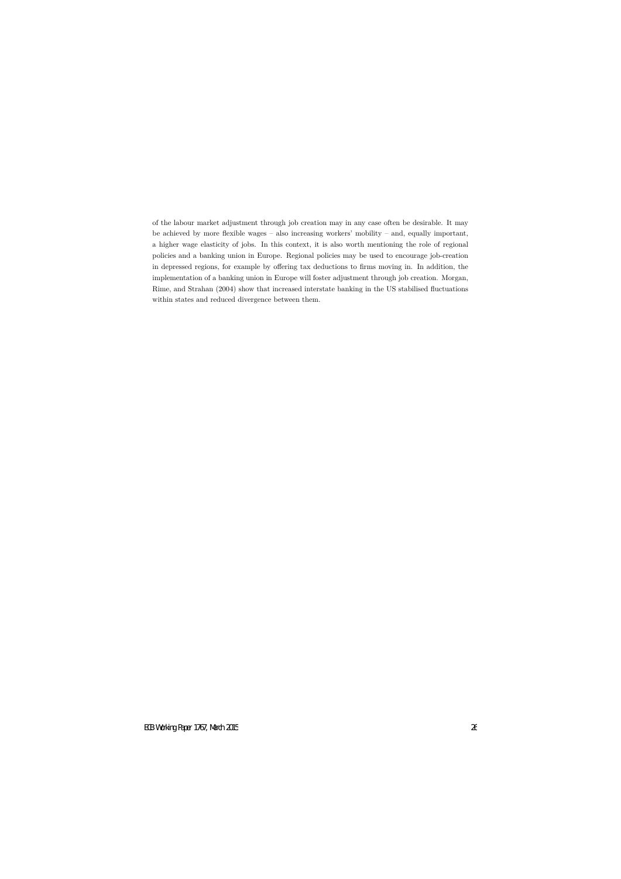of the labour market adjustment through job creation may in any case often be desirable. It may be achieved by more flexible wages – also increasing workers' mobility – and, equally important, a higher wage elasticity of jobs. In this context, it is also worth mentioning the role of regional policies and a banking union in Europe. Regional policies may be used to encourage job-creation in depressed regions, for example by offering tax deductions to firms moving in. In addition, the implementation of a banking union in Europe will foster adjustment through job creation. Morgan, Rime, and Strahan (2004) show that increased interstate banking in the US stabilised fluctuations within states and reduced divergence between them.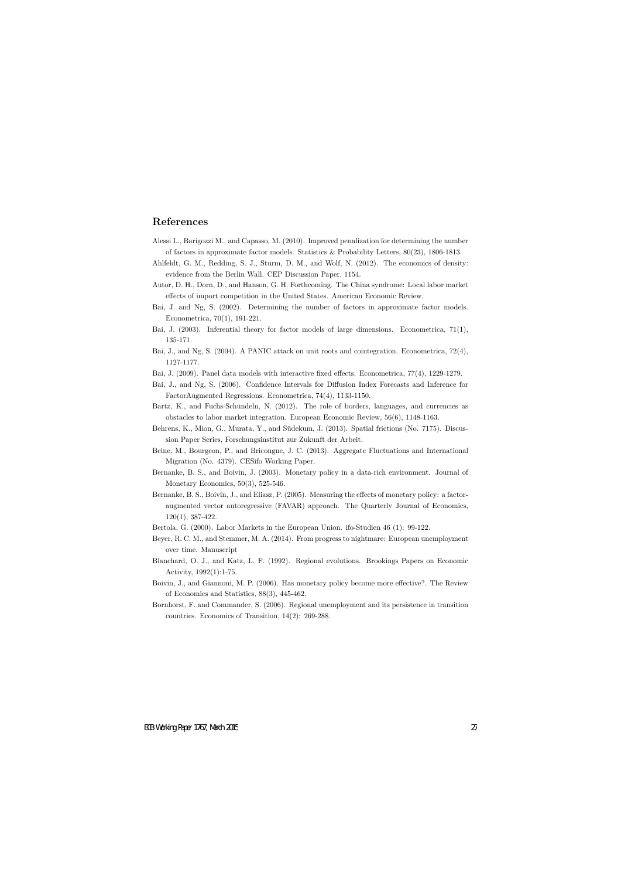# **References**

- Alessi L., Barigozzi M., and Capasso, M. (2010). Improved penalization for determining the number of factors in approximate factor models. Statistics & Probability Letters, 80(23), 1806-1813.
- Ahlfeldt, G. M., Redding, S. J., Sturm, D. M., and Wolf, N. (2012). The economics of density: evidence from the Berlin Wall. CEP Discussion Paper, 1154.
- Autor, D. H., Dorn, D., and Hanson, G. H. Forthcoming. The China syndrome: Local labor market effects of import competition in the United States. American Economic Review.
- Bai, J. and Ng, S. (2002). Determining the number of factors in approximate factor models. Econometrica, 70(1), 191-221.
- Bai, J. (2003). Inferential theory for factor models of large dimensions. Econometrica, 71(1), 135-171.
- Bai, J., and Ng, S. (2004). A PANIC attack on unit roots and cointegration. Econometrica, 72(4), 1127-1177.
- Bai, J. (2009). Panel data models with interactive fixed effects. Econometrica, 77(4), 1229-1279.
- Bai, J., and Ng, S. (2006). Confidence Intervals for Diffusion Index Forecasts and Inference for FactorAugmented Regressions. Econometrica, 74(4), 1133-1150.
- Bartz, K., and Fuchs-Schündeln, N. (2012). The role of borders, languages, and currencies as obstacles to labor market integration. European Economic Review, 56(6), 1148-1163.
- Behrens, K., Mion, G., Murata, Y., and Südekum, J. (2013). Spatial frictions (No. 7175). Discussion Paper Series, Forschungsinstitut zur Zukunft der Arbeit.
- Beine, M., Bourgeon, P., and Bricongne, J. C. (2013). Aggregate Fluctuations and International Migration (No. 4379). CESifo Working Paper.
- Bernanke, B. S., and Boivin, J. (2003). Monetary policy in a data-rich environment. Journal of Monetary Economics, 50(3), 525-546.
- Bernanke, B. S., Boivin, J., and Eliasz, P. (2005). Measuring the effects of monetary policy: a factoraugmented vector autoregressive (FAVAR) approach. The Quarterly Journal of Economics, 120(1), 387-422.
- Bertola, G. (2000). Labor Markets in the European Union. ifo-Studien 46 (1): 99-122.
- Beyer, R. C. M., and Stemmer, M. A. (2014). From progress to nightmare: European unemployment over time. Manuscript
- Blanchard, O. J., and Katz, L. F. (1992). Regional evolutions. Brookings Papers on Economic Activity, 1992(1):1-75.
- Boivin, J., and Giannoni, M. P. (2006). Has monetary policy become more effective?. The Review of Economics and Statistics, 88(3), 445-462.
- Bornhorst, F. and Commander, S. (2006). Regional unemployment and its persistence in transition countries. Economics of Transition, 14(2): 269-288.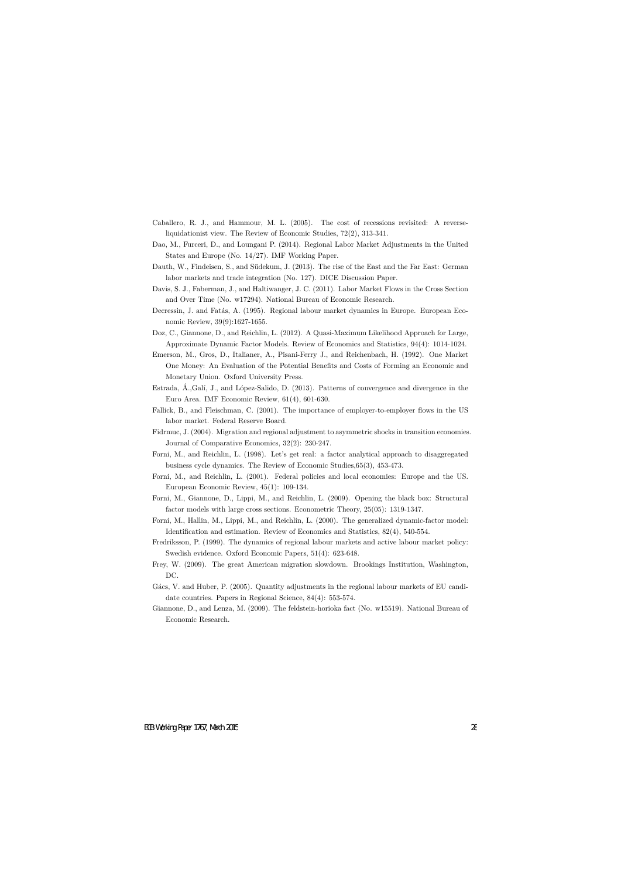- Caballero, R. J., and Hammour, M. L. (2005). The cost of recessions revisited: A reverseliquidationist view. The Review of Economic Studies, 72(2), 313-341.
- Dao, M., Furceri, D., and Loungani P. (2014). Regional Labor Market Adjustments in the United States and Europe (No. 14/27). IMF Working Paper.
- Dauth, W., Findeisen, S., and Südekum, J. (2013). The rise of the East and the Far East: German labor markets and trade integration (No. 127). DICE Discussion Paper.
- Davis, S. J., Faberman, J., and Haltiwanger, J. C. (2011). Labor Market Flows in the Cross Section and Over Time (No. w17294). National Bureau of Economic Research.
- Decressin, J. and Fatás, A. (1995). Regional labour market dynamics in Europe. European Economic Review, 39(9):1627-1655.
- Doz, C., Giannone, D., and Reichlin, L. (2012). A Quasi-Maximum Likelihood Approach for Large, Approximate Dynamic Factor Models. Review of Economics and Statistics, 94(4): 1014-1024.
- Emerson, M., Gros, D., Italianer, A., Pisani-Ferry J., and Reichenbach, H. (1992). One Market One Money: An Evaluation of the Potential Benefits and Costs of Forming an Economic and Monetary Union. Oxford University Press.
- Estrada,  $\hat{A}$ , Galí, J., and López-Salido, D. (2013). Patterns of convergence and divergence in the Euro Area. IMF Economic Review, 61(4), 601-630.
- Fallick, B., and Fleischman, C. (2001). The importance of employer-to-employer flows in the US labor market. Federal Reserve Board.
- Fidrmuc, J. (2004). Migration and regional adjustment to asymmetric shocks in transition economies. Journal of Comparative Economics, 32(2): 230-247.
- Forni, M., and Reichlin, L. (1998). Let's get real: a factor analytical approach to disaggregated business cycle dynamics. The Review of Economic Studies,65(3), 453-473.
- Forni, M., and Reichlin, L. (2001). Federal policies and local economies: Europe and the US. European Economic Review, 45(1): 109-134.
- Forni, M., Giannone, D., Lippi, M., and Reichlin, L. (2009). Opening the black box: Structural factor models with large cross sections. Econometric Theory, 25(05): 1319-1347.
- Forni, M., Hallin, M., Lippi, M., and Reichlin, L. (2000). The generalized dynamic-factor model: Identification and estimation. Review of Economics and Statistics, 82(4), 540-554.
- Fredriksson, P. (1999). The dynamics of regional labour markets and active labour market policy: Swedish evidence. Oxford Economic Papers, 51(4): 623-648.
- Frey, W. (2009). The great American migration slowdown. Brookings Institution, Washington, DC.
- Gács, V. and Huber, P. (2005). Quantity adjustments in the regional labour markets of EU candidate countries. Papers in Regional Science, 84(4): 553-574.
- Giannone, D., and Lenza, M. (2009). The feldstein-horioka fact (No. w15519). National Bureau of Economic Research.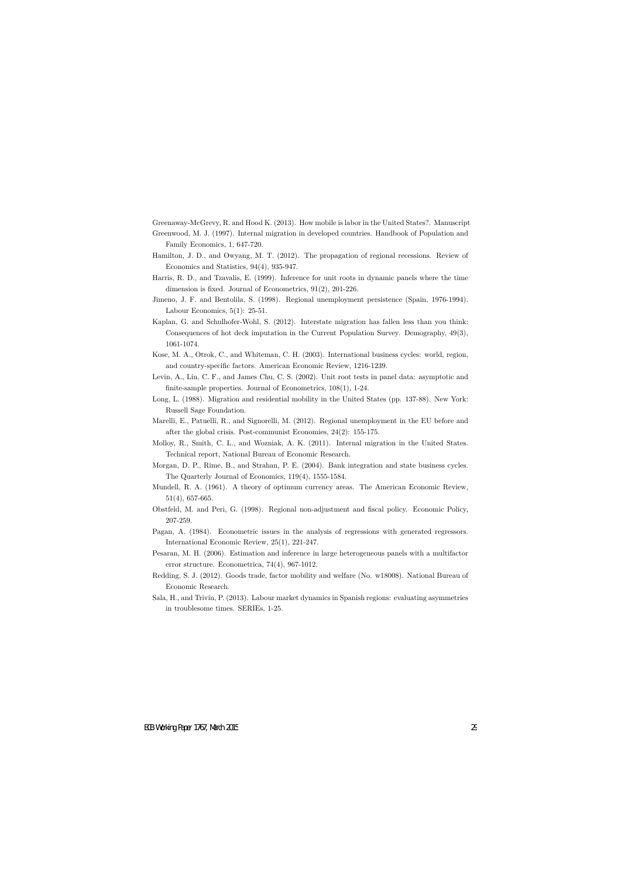Greenaway-McGrevy, R. and Hood K. (2013). How mobile is labor in the United States?. Manuscript

- Greenwood, M. J. (1997). Internal migration in developed countries. Handbook of Population and Family Economics, 1, 647-720.
- Hamilton, J. D., and Owyang, M. T. (2012). The propagation of regional recessions. Review of Economics and Statistics, 94(4), 935-947.
- Harris, R. D., and Tzavalis, E. (1999). Inference for unit roots in dynamic panels where the time dimension is fixed. Journal of Econometrics, 91(2), 201-226.
- Jimeno, J. F. and Bentolila, S. (1998). Regional unemployment persistence (Spain, 1976-1994). Labour Economics,  $5(1)$ : 25-51.
- Kaplan, G. and Schulhofer-Wohl, S. (2012). Interstate migration has fallen less than you think: Consequences of hot deck imputation in the Current Population Survey. Demography, 49(3), 1061-1074.
- Kose, M. A., Otrok, C., and Whiteman, C. H. (2003). International business cycles: world, region, and country-specific factors. American Economic Review, 1216-1239.
- Levin, A., Lin, C. F., and James Chu, C. S. (2002). Unit root tests in panel data: asymptotic and finite-sample properties. Journal of Econometrics, 108(1), 1-24.
- Long, L. (1988). Migration and residential mobility in the United States (pp. 137-88). New York: Russell Sage Foundation.
- Marelli, E., Patuelli, R., and Signorelli, M. (2012). Regional unemployment in the EU before and after the global crisis. Post-communist Economies, 24(2): 155-175.
- Molloy, R., Smith, C. L., and Wozniak, A. K. (2011). Internal migration in the United States. Technical report, National Bureau of Economic Research.
- Morgan, D. P., Rime, B., and Strahan, P. E. (2004). Bank integration and state business cycles. The Quarterly Journal of Economics, 119(4), 1555-1584.
- Mundell, R. A. (1961). A theory of optimum currency areas. The American Economic Review, 51(4), 657-665.
- Obstfeld, M. and Peri, G. (1998). Regional non-adjustment and fiscal policy. Economic Policy, 207-259.
- Pagan, A. (1984). Econometric issues in the analysis of regressions with generated regressors. International Economic Review, 25(1), 221-247.
- Pesaran, M. H. (2006). Estimation and inference in large heterogeneous panels with a multifactor error structure. Econometrica, 74(4), 967-1012.
- Redding, S. J. (2012). Goods trade, factor mobility and welfare (No. w18008). National Bureau of Economic Research.
- Sala, H., and Trivín, P. (2013). Labour market dynamics in Spanish regions: evaluating asymmetries in troublesome times. SERIEs, 1-25.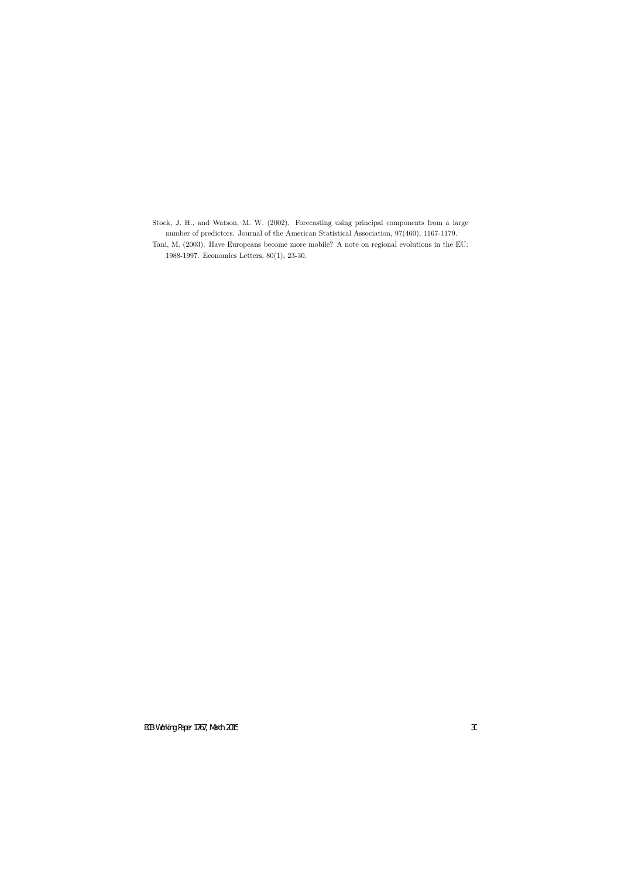- Stock, J. H., and Watson, M. W. (2002). Forecasting using principal components from a large number of predictors. Journal of the American Statistical Association, 97(460), 1167-1179.
- Tani, M. (2003). Have Europeans become more mobile? A note on regional evolutions in the EU: 1988-1997. Economics Letters, 80(1), 23-30.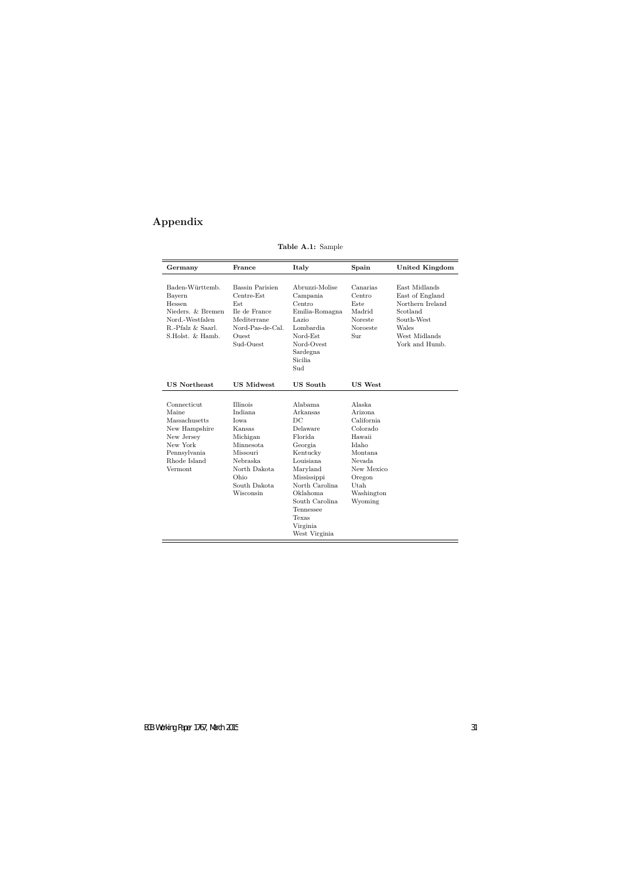# **Appendix**

| Germany                                                                                                                     | France                                                                                                                                             | Italy                                                                                                                                                                                                              | Spain                                                                                                                                        | <b>United Kingdom</b>                                                                                                      |
|-----------------------------------------------------------------------------------------------------------------------------|----------------------------------------------------------------------------------------------------------------------------------------------------|--------------------------------------------------------------------------------------------------------------------------------------------------------------------------------------------------------------------|----------------------------------------------------------------------------------------------------------------------------------------------|----------------------------------------------------------------------------------------------------------------------------|
| Baden-Württemb.<br>Bayern<br>Hessen<br>Nieders. & Bremen<br>Nord.-Westfalen<br>R.-Pfalz & Saarl.<br>S.Holst. & Hamb.        | Bassin Parisien<br>Centre-Est<br>Est<br>Ile de France<br>Mediterrane<br>Nord-Pas-de-Cal.<br>Ouest<br>Sud-Ouest                                     | Abruzzi-Molise<br>Campania<br>Centro<br>Emilia-Romagna<br>Lazio<br>Lombardia<br>Nord-Est<br>Nord-Ovest<br>Sardegna<br>Sicilia<br>Sud                                                                               | Canarias<br>Centro<br>Este<br>Madrid<br>Noreste<br>Noroeste<br>Sur                                                                           | East Midlands<br>East of England<br>Northern Ireland<br>Scotland<br>South-West<br>Wales<br>West Midlands<br>York and Humb. |
| <b>US Northeast</b>                                                                                                         | <b>US Midwest</b>                                                                                                                                  | <b>US</b> South                                                                                                                                                                                                    | <b>US West</b>                                                                                                                               |                                                                                                                            |
| Connecticut<br>Maine<br>Massachusetts<br>New Hampshire<br>New Jersey<br>New York<br>Pennsylvania<br>Rhode Island<br>Vermont | <b>Illinois</b><br>Indiana<br>Iowa<br>Kansas<br>Michigan<br>Minnesota<br>Missouri<br>Nebraska<br>North Dakota<br>Ohio<br>South Dakota<br>Wisconsin | Alabama<br>Arkansas<br>DC<br>Delaware<br>Florida<br>Georgia<br>Kentucky<br>Louisiana<br>Maryland<br>Mississippi<br>North Carolina<br>Oklahoma<br>South Carolina<br>Tennessee<br>Texas<br>Virginia<br>West Virginia | Alaska<br>Arizona<br>California<br>Colorado<br>Hawaii<br>Idaho<br>Montana<br>Nevada<br>New Mexico<br>Oregon<br>Utah<br>Washington<br>Wyoming |                                                                                                                            |

**Table A.1:** Sample